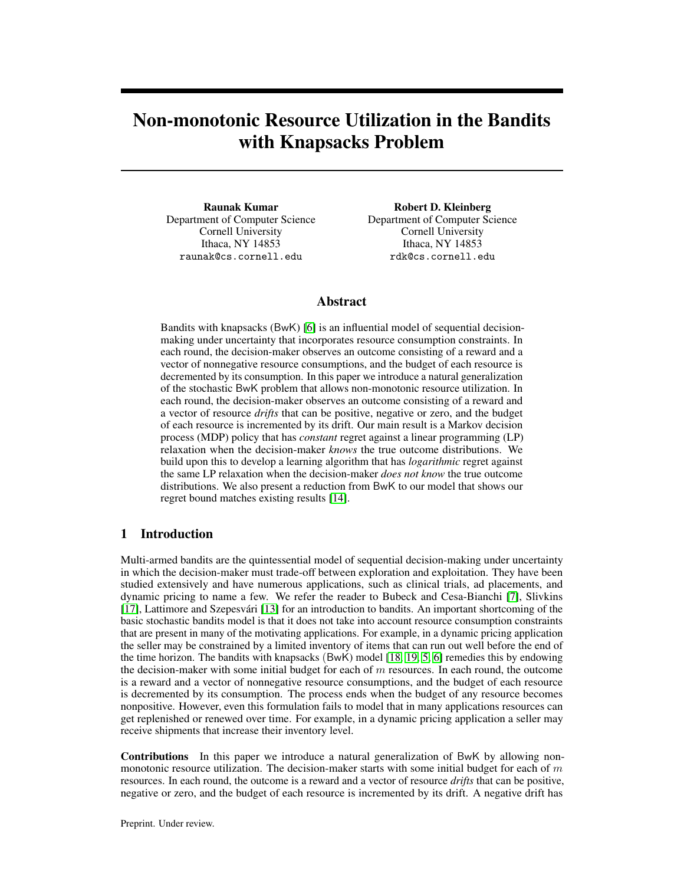# Non-monotonic Resource Utilization in the Bandits with Knapsacks Problem

Raunak Kumar Department of Computer Science Cornell University Ithaca, NY 14853 raunak@cs.cornell.edu

Robert D. Kleinberg Department of Computer Science Cornell University Ithaca, NY 14853 rdk@cs.cornell.edu

# Abstract

Bandits with knapsacks (BwK) [\[6\]](#page-9-0) is an influential model of sequential decisionmaking under uncertainty that incorporates resource consumption constraints. In each round, the decision-maker observes an outcome consisting of a reward and a vector of nonnegative resource consumptions, and the budget of each resource is decremented by its consumption. In this paper we introduce a natural generalization of the stochastic BwK problem that allows non-monotonic resource utilization. In each round, the decision-maker observes an outcome consisting of a reward and a vector of resource *drifts* that can be positive, negative or zero, and the budget of each resource is incremented by its drift. Our main result is a Markov decision process (MDP) policy that has *constant* regret against a linear programming (LP) relaxation when the decision-maker *knows* the true outcome distributions. We build upon this to develop a learning algorithm that has *logarithmic* regret against the same LP relaxation when the decision-maker *does not know* the true outcome distributions. We also present a reduction from BwK to our model that shows our regret bound matches existing results [\[14\]](#page-9-1).

# 1 Introduction

Multi-armed bandits are the quintessential model of sequential decision-making under uncertainty in which the decision-maker must trade-off between exploration and exploitation. They have been studied extensively and have numerous applications, such as clinical trials, ad placements, and dynamic pricing to name a few. We refer the reader to Bubeck and Cesa-Bianchi [\[7\]](#page-9-2), Slivkins [\[17\]](#page-9-3), Lattimore and Szepesvári [\[13\]](#page-9-4) for an introduction to bandits. An important shortcoming of the basic stochastic bandits model is that it does not take into account resource consumption constraints that are present in many of the motivating applications. For example, in a dynamic pricing application the seller may be constrained by a limited inventory of items that can run out well before the end of the time horizon. The bandits with knapsacks (BwK) model [\[18,](#page-10-0) [19,](#page-10-1) [5,](#page-9-5) [6\]](#page-9-0) remedies this by endowing the decision-maker with some initial budget for each of  $m$  resources. In each round, the outcome is a reward and a vector of nonnegative resource consumptions, and the budget of each resource is decremented by its consumption. The process ends when the budget of any resource becomes nonpositive. However, even this formulation fails to model that in many applications resources can get replenished or renewed over time. For example, in a dynamic pricing application a seller may receive shipments that increase their inventory level.

Contributions In this paper we introduce a natural generalization of BwK by allowing nonmonotonic resource utilization. The decision-maker starts with some initial budget for each of  $m$ resources. In each round, the outcome is a reward and a vector of resource *drifts* that can be positive, negative or zero, and the budget of each resource is incremented by its drift. A negative drift has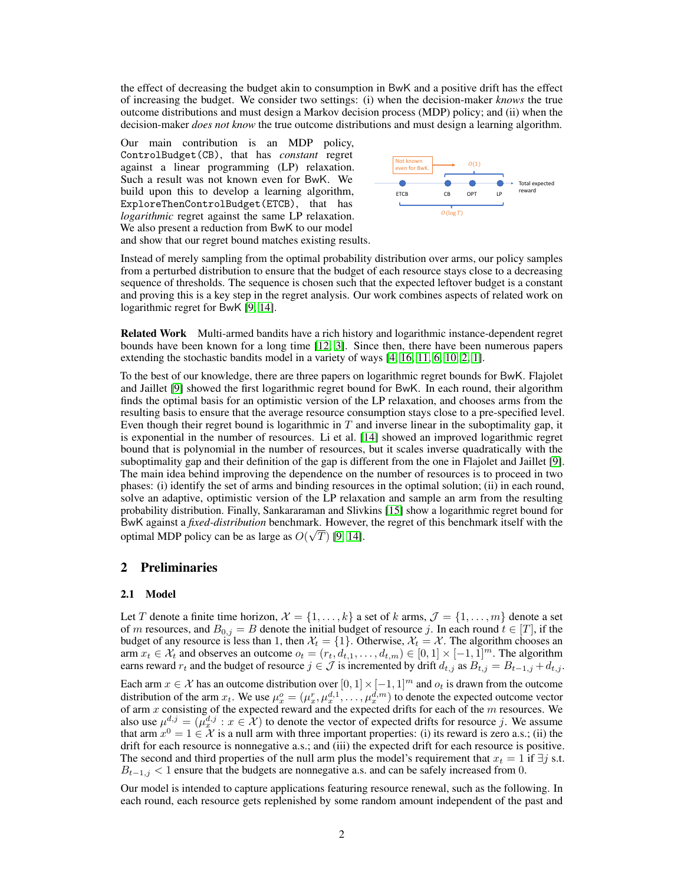the effect of decreasing the budget akin to consumption in BwK and a positive drift has the effect of increasing the budget. We consider two settings: (i) when the decision-maker *knows* the true outcome distributions and must design a Markov decision process (MDP) policy; and (ii) when the decision-maker *does not know* the true outcome distributions and must design a learning algorithm.

Our main contribution is an MDP policy, ControlBudget(CB), that has *constant* regret against a linear programming (LP) relaxation. Such a result was not known even for BwK. We build upon this to develop a learning algorithm, ExploreThenControlBudget(ETCB), that has *logarithmic* regret against the same LP relaxation. We also present a reduction from BwK to our model and show that our regret bound matches existing results.



Instead of merely sampling from the optimal probability distribution over arms, our policy samples from a perturbed distribution to ensure that the budget of each resource stays close to a decreasing sequence of thresholds. The sequence is chosen such that the expected leftover budget is a constant and proving this is a key step in the regret analysis. Our work combines aspects of related work on logarithmic regret for BwK [\[9,](#page-9-6) [14\]](#page-9-1).

Related Work Multi-armed bandits have a rich history and logarithmic instance-dependent regret bounds have been known for a long time [\[12,](#page-9-7) [3\]](#page-9-8). Since then, there have been numerous papers extending the stochastic bandits model in a variety of ways [\[4,](#page-9-9) [16,](#page-9-10) [11,](#page-9-11) [6,](#page-9-0) [10,](#page-9-12) [2,](#page-9-13) [1\]](#page-9-14).

To the best of our knowledge, there are three papers on logarithmic regret bounds for BwK. Flajolet and Jaillet [\[9\]](#page-9-6) showed the first logarithmic regret bound for BwK. In each round, their algorithm finds the optimal basis for an optimistic version of the LP relaxation, and chooses arms from the resulting basis to ensure that the average resource consumption stays close to a pre-specified level. Even though their regret bound is logarithmic in  $T$  and inverse linear in the suboptimality gap, it is exponential in the number of resources. Li et al. [\[14\]](#page-9-1) showed an improved logarithmic regret bound that is polynomial in the number of resources, but it scales inverse quadratically with the suboptimality gap and their definition of the gap is different from the one in Flajolet and Jaillet [\[9\]](#page-9-6). The main idea behind improving the dependence on the number of resources is to proceed in two phases: (i) identify the set of arms and binding resources in the optimal solution; (ii) in each round, solve an adaptive, optimistic version of the LP relaxation and sample an arm from the resulting probability distribution. Finally, Sankararaman and Slivkins [\[15\]](#page-9-15) show a logarithmic regret bound for BwK against a *fixed-distribution* benchmark. However, the regret of this benchmark itself with the √ optimal MDP policy can be as large as  $O(\sqrt{T})$  [\[9,](#page-9-6) [14\]](#page-9-1).

## 2 Preliminaries

### <span id="page-1-0"></span>2.1 Model

Let T denote a finite time horizon,  $\mathcal{X} = \{1, \ldots, k\}$  a set of k arms,  $\mathcal{J} = \{1, \ldots, m\}$  denote a set of m resources, and  $B_{0,j} = B$  denote the initial budget of resource j. In each round  $t \in [T]$ , if the budget of any resource is less than 1, then  $\mathcal{X}_t = \{1\}$ . Otherwise,  $\mathcal{X}_t = \mathcal{X}$ . The algorithm chooses an arm  $x_t \in \mathcal{X}_t$  and observes an outcome  $o_t = (r_t, d_{t,1}, \dots, d_{t,m}) \in [0,1] \times [-1,1]^m$ . The algorithm earns reward  $r_t$  and the budget of resource  $j \in \mathcal{J}$  is incremented by drift  $d_{t,j}$  as  $B_{t,j} = B_{t-1,j} + d_{t,j}$ .

Each arm  $x \in \mathcal{X}$  has an outcome distribution over  $[0, 1] \times [-1, 1]^m$  and  $o_t$  is drawn from the outcome distribution of the arm  $x_t$ . We use  $\mu_x^o = (\mu_x^r, \mu_x^{d,1}, \dots, \mu_x^{d,m})$  to denote the expected outcome vector of arm  $x$  consisting of the expected reward and the expected drifts for each of the  $m$  resources. We also use  $\mu^{d,j} = (\mu^{d,j}_x : x \in \mathcal{X})$  to denote the vector of expected drifts for resource j. We assume that arm  $x^0 = 1 \in \mathcal{X}$  is a null arm with three important properties: (i) its reward is zero a.s.; (ii) the drift for each resource is nonnegative a.s.; and (iii) the expected drift for each resource is positive. The second and third properties of the null arm plus the model's requirement that  $x_t = 1$  if  $\exists j$  s.t.  $B_{t-1,j}$  < 1 ensure that the budgets are nonnegative a.s. and can be safely increased from 0.

Our model is intended to capture applications featuring resource renewal, such as the following. In each round, each resource gets replenished by some random amount independent of the past and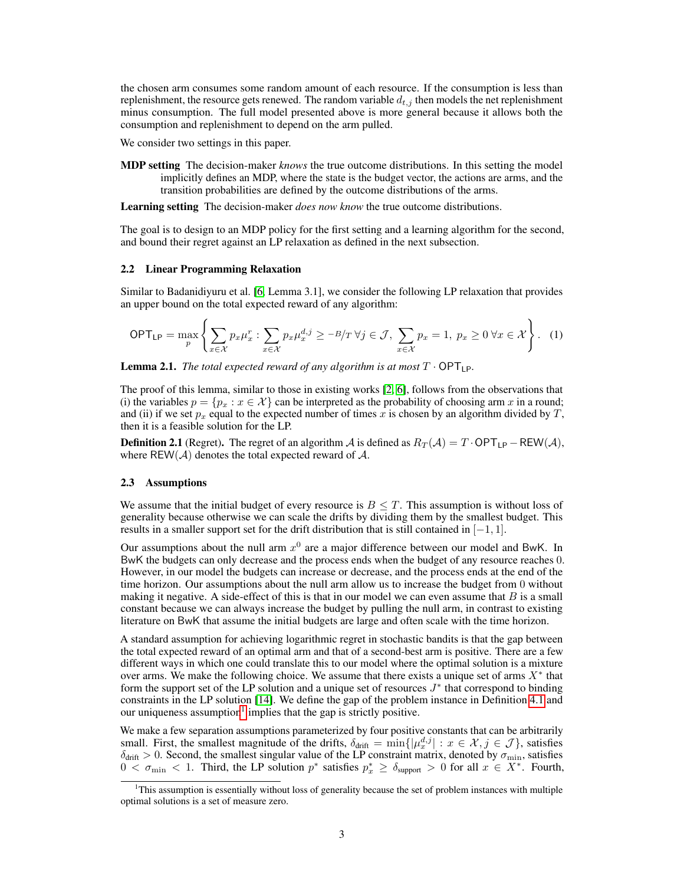the chosen arm consumes some random amount of each resource. If the consumption is less than replenishment, the resource gets renewed. The random variable  $d_{t,j}$  then models the net replenishment minus consumption. The full model presented above is more general because it allows both the consumption and replenishment to depend on the arm pulled.

We consider two settings in this paper.

MDP setting The decision-maker *knows* the true outcome distributions. In this setting the model implicitly defines an MDP, where the state is the budget vector, the actions are arms, and the transition probabilities are defined by the outcome distributions of the arms.

Learning setting The decision-maker *does now know* the true outcome distributions.

The goal is to design to an MDP policy for the first setting and a learning algorithm for the second, and bound their regret against an LP relaxation as defined in the next subsection.

#### 2.2 Linear Programming Relaxation

Similar to Badanidiyuru et al. [\[6,](#page-9-0) Lemma 3.1], we consider the following LP relaxation that provides an upper bound on the total expected reward of any algorithm:

<span id="page-2-1"></span>
$$
\mathsf{OPT}_{\mathsf{LP}} = \max_{p} \left\{ \sum_{x \in \mathcal{X}} p_x \mu_x^r : \sum_{x \in \mathcal{X}} p_x \mu_x^{d,j} \ge -B/T \,\forall j \in \mathcal{J}, \, \sum_{x \in \mathcal{X}} p_x = 1, \, p_x \ge 0 \,\forall x \in \mathcal{X} \right\}.
$$
 (1)

**Lemma 2.1.** *The total expected reward of any algorithm is at most*  $T \cdot \text{OPT}_{\text{LP}}$ *.* 

The proof of this lemma, similar to those in existing works [\[2,](#page-9-13) [6\]](#page-9-0), follows from the observations that (i) the variables  $p = \{p_x : x \in \mathcal{X}\}\)$  can be interpreted as the probability of choosing arm x in a round; and (ii) if we set  $p_x$  equal to the expected number of times x is chosen by an algorithm divided by T, then it is a feasible solution for the LP.

**Definition 2.1** (Regret). The regret of an algorithm A is defined as  $R_T(A) = T \cdot OPT_{LP} - REW(A)$ , where  $REW(\mathcal{A})$  denotes the total expected reward of  $\mathcal{A}$ .

#### <span id="page-2-2"></span>2.3 Assumptions

We assume that the initial budget of every resource is  $B \leq T$ . This assumption is without loss of generality because otherwise we can scale the drifts by dividing them by the smallest budget. This results in a smaller support set for the drift distribution that is still contained in  $[-1, 1]$ .

Our assumptions about the null arm  $x^0$  are a major difference between our model and BwK. In BwK the budgets can only decrease and the process ends when the budget of any resource reaches 0. However, in our model the budgets can increase or decrease, and the process ends at the end of the time horizon. Our assumptions about the null arm allow us to increase the budget from 0 without making it negative. A side-effect of this is that in our model we can even assume that  $B$  is a small constant because we can always increase the budget by pulling the null arm, in contrast to existing literature on BwK that assume the initial budgets are large and often scale with the time horizon.

A standard assumption for achieving logarithmic regret in stochastic bandits is that the gap between the total expected reward of an optimal arm and that of a second-best arm is positive. There are a few different ways in which one could translate this to our model where the optimal solution is a mixture over arms. We make the following choice. We assume that there exists a unique set of arms  $X^*$  that form the support set of the LP solution and a unique set of resources  $J^*$  that correspond to binding constraints in the LP solution [\[14\]](#page-9-1). We define the gap of the problem instance in Definition [4.1](#page-7-0) and our uniqueness assumption<sup>[1](#page-2-0)</sup> implies that the gap is strictly positive.

We make a few separation assumptions parameterized by four positive constants that can be arbitrarily small. First, the smallest magnitude of the drifts,  $\delta_{\text{drift}} = \min\{|\mu_x^{d,j}| : x \in \mathcal{X}, j \in \mathcal{J}\}\)$ , satisfies  $\delta_{\text{drift}} > 0$ . Second, the smallest singular value of the LP constraint matrix, denoted by  $\sigma_{\text{min}}$ , satisfies  $0 < \sigma_{\min} < 1$ . Third, the LP solution  $p^*$  satisfies  $p_x^* \ge \delta_{\text{support}} > 0$  for all  $x \in X^*$ . Fourth,

<span id="page-2-0"></span><sup>&</sup>lt;sup>1</sup>This assumption is essentially without loss of generality because the set of problem instances with multiple optimal solutions is a set of measure zero.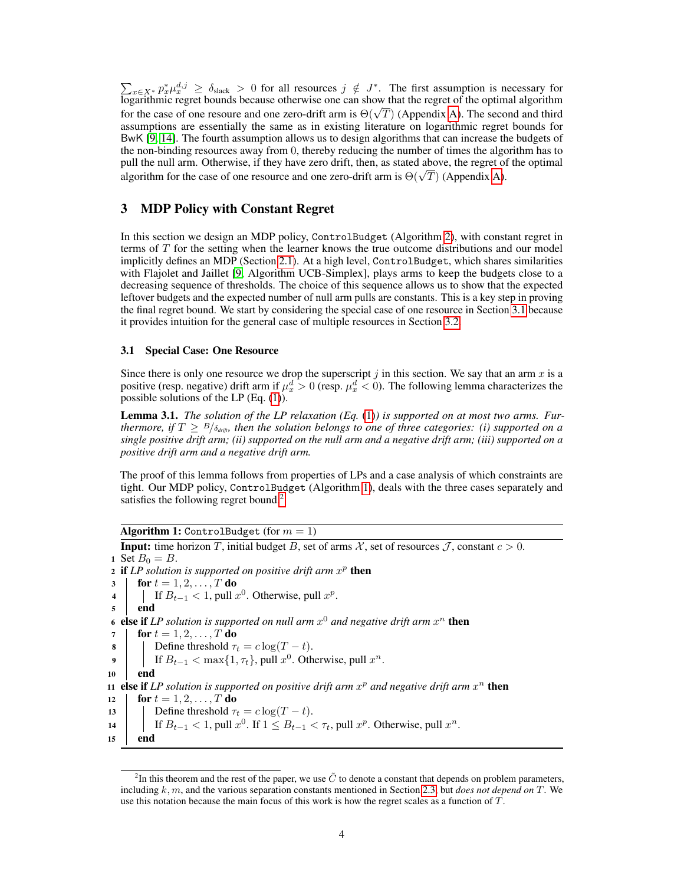$\sum_{x \in X^*} p_x^* \mu_x^{d,j} \ge \delta_{\text{slack}} > 0$  for all resources  $j \notin J^*$ . The first assumption is necessary for logarithmic regret bounds because otherwise one can show that the regret of the optimal algorithm  $f$  togarithmic regret bounds because otherwise one can show that the regret of the optimal algorithm<br>for the case of one resoure and one zero-drift arm is  $\Theta(\sqrt{T})$  (Appendix [A\)](#page-11-0). The second and third assumptions are essentially the same as in existing literature on logarithmic regret bounds for BwK [\[9,](#page-9-6) [14\]](#page-9-1). The fourth assumption allows us to design algorithms that can increase the budgets of the non-binding resources away from 0, thereby reducing the number of times the algorithm has to pull the null arm. Otherwise, if they have zero drift, then, as stated above, the regret of the optimal pun the nun arm. Otherwise, if they have zero drift, then, as stated above, the regret of algorithm for the case of one resource and one zero-drift arm is  $\Theta(\sqrt{T})$  (Appendix [A\)](#page-11-0).

# 3 MDP Policy with Constant Regret

In this section we design an MDP policy, ControlBudget (Algorithm [2\)](#page-5-0), with constant regret in terms of  $T$  for the setting when the learner knows the true outcome distributions and our model implicitly defines an MDP (Section [2.1\)](#page-1-0). At a high level, ControlBudget, which shares similarities with Flajolet and Jaillet [\[9,](#page-9-6) Algorithm UCB-Simplex], plays arms to keep the budgets close to a decreasing sequence of thresholds. The choice of this sequence allows us to show that the expected leftover budgets and the expected number of null arm pulls are constants. This is a key step in proving the final regret bound. We start by considering the special case of one resource in Section [3.1](#page-3-0) because it provides intuition for the general case of multiple resources in Section [3.2.](#page-5-1)

### <span id="page-3-0"></span>3.1 Special Case: One Resource

Since there is only one resource we drop the superscript  $j$  in this section. We say that an arm  $x$  is a positive (resp. negative) drift arm if  $\mu_x^d > 0$  (resp.  $\mu_x^d < 0$ ). The following lemma characterizes the possible solutions of the LP (Eq. [\(1\)](#page-2-1)).

<span id="page-3-4"></span>Lemma 3.1. *The solution of the LP relaxation (Eq.* [\(1\)](#page-2-1)*) is supported on at most two arms. Furthermore, if*  $T \geq \frac{B}{\delta_{\text{drift}}}$ *, then the solution belongs to one of three categories: (i) supported on a single positive drift arm; (ii) supported on the null arm and a negative drift arm; (iii) supported on a positive drift arm and a negative drift arm.*

The proof of this lemma follows from properties of LPs and a case analysis of which constraints are tight. Our MDP policy, ControlBudget (Algorithm [1\)](#page-3-1), deals with the three cases separately and satisfies the following regret bound.<sup>[2](#page-3-2)</sup>

### Algorithm 1: ControlBudget (for  $m = 1$ )

```
Input: time horizon T, initial budget B, set of arms X, set of resources \mathcal{J}, constant c > 0.
1 Set B_0 = B.
 2 if LP solution is supported on positive drift arm x^p then
3 | for t = 1, 2, ..., T do
 4 | If B_{t-1} < 1, pull x^0. Otherwise, pull x^p.
5 end
 6 else if LP solution is supported on null arm x^0 and negative drift arm x^n then
7 \vert for t = 1, 2, \ldots, T do
8 Define threshold \tau_t = c \log(T - t).
 9 | If B_{t-1} < \max\{1, \tau_t\}, pull x^0. Otherwise, pull x^n.
10 end
11 else if LP solution is supported on positive drift arm x^p and negative drift arm x^n then
12 \text{for } t = 1, 2, ..., T \text{ do}13 | Define threshold \tau_t = c \log(T - t).
14 | If B_{t-1} < 1, pull x^0. If 1 \leq B_{t-1} < \tau_t, pull x^p. Otherwise, pull x^n.
15 end
```
<span id="page-3-3"></span><span id="page-3-2"></span><sup>&</sup>lt;sup>2</sup>In this theorem and the rest of the paper, we use  $\tilde{C}$  to denote a constant that depends on problem parameters, including k, m, and the various separation constants mentioned in Section [2.3,](#page-2-2) but *does not depend on* T. We use this notation because the main focus of this work is how the regret scales as a function of  $T$ .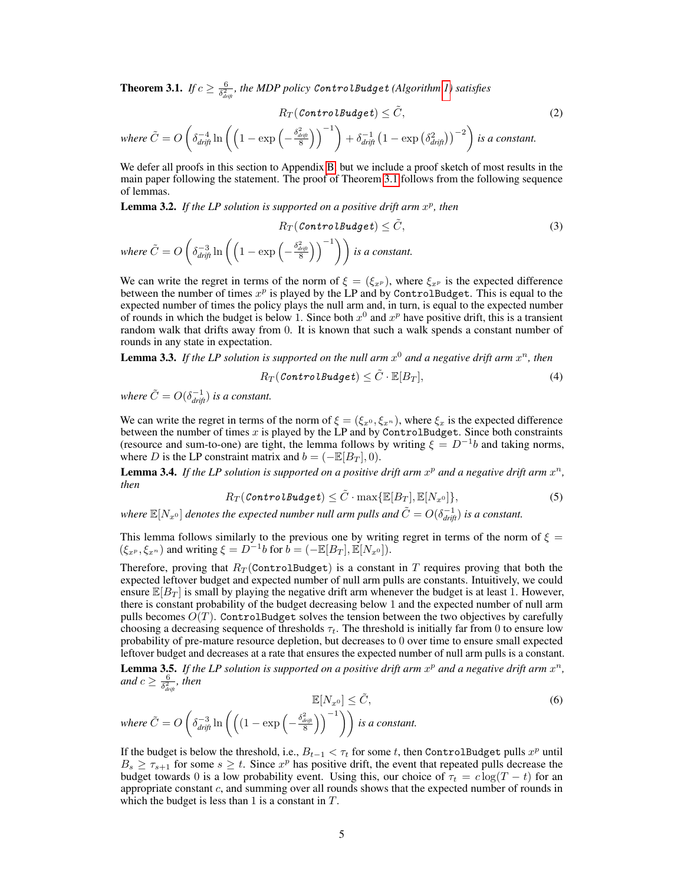**Theorem 3.1.** If  $c \geq \frac{6}{\delta_{drift}^2}$ , the MDP policy ControlBudget (Algorithm [1\)](#page-3-1) satisfies

$$
R_T(\text{ControlBudge}t) \leq \tilde{C},\tag{2}
$$
\n
$$
\text{where } \tilde{C} = O\left(\delta_{\text{drift}}^{-4}\ln\left(\left(1 - \exp\left(-\frac{\delta_{\text{drift}}^{2}}{8}\right)\right)^{-1}\right) + \delta_{\text{drift}}^{-1}\left(1 - \exp\left(\delta_{\text{drift}}^{2}\right)\right)^{-2}\right) \text{ is a constant.}
$$

We defer all proofs in this section to Appendix [B,](#page-12-0) but we include a proof sketch of most results in the main paper following the statement. The proof of Theorem [3.1](#page-3-3) follows from the following sequence of lemmas.

<span id="page-4-4"></span>**Lemma 3.2.** If the LP solution is supported on a positive drift arm  $x^p$ , then

$$
R_T(\text{ControlBudge}t) \leq \tilde{C},
$$
  
where  $\tilde{C} = O\left(\delta_{drift}^{-3} \ln \left(\left(1 - \exp\left(-\frac{\delta_{drift}^2}{8}\right)\right)^{-1}\right)\right)$  is a constant. (3)

We can write the regret in terms of the norm of  $\xi = (\xi_{x^p})$ , where  $\xi_{x^p}$  is the expected difference between the number of times  $x^p$  is played by the LP and by ControlBudget. This is equal to the expected number of times the policy plays the null arm and, in turn, is equal to the expected number of rounds in which the budget is below 1. Since both  $x^0$  and  $x^p$  have positive drift, this is a transient random walk that drifts away from 0. It is known that such a walk spends a constant number of rounds in any state in expectation.

<span id="page-4-0"></span>**Lemma 3.3.** If the LP solution is supported on the null arm  $x^0$  and a negative drift arm  $x^n$ , then

$$
R_T(\textit{ControlBudge} t) \leq \tilde{C} \cdot \mathbb{E}[B_T],\tag{4}
$$

*where*  $\tilde{C} = O(\delta_{drift}^{-1})$  *is a constant.* 

We can write the regret in terms of the norm of  $\xi = (\xi_x, \xi_x, \xi_y)$ , where  $\xi_x$  is the expected difference between the number of times x is played by the LP and by ControlBudget. Since both constraints (resource and sum-to-one) are tight, the lemma follows by writing  $\xi = D^{-1}b$  and taking norms, where D is the LP constraint matrix and  $b = (-\mathbb{E}[B_T], 0)$ .

<span id="page-4-1"></span>**Lemma 3.4.** If the LP solution is supported on a positive drift arm  $x^p$  and a negative drift arm  $x^n$ , *then*

$$
R_T(\textit{ControlBudge} t) \leq \tilde{C} \cdot \max\{\mathbb{E}[B_T], \mathbb{E}[N_{x^0}]\},\tag{5}
$$

where  $\mathbb{E}[N_{x^0}]$  denotes the expected number null arm pulls and  $\tilde{C}=O(\delta_{drift}^{-1})$  is a constant.

This lemma follows similarly to the previous one by writing regret in terms of the norm of  $\xi =$  $(\xi_{x^p}, \xi_{x^n})$  and writing  $\xi = D^{-1}b$  for  $b = (-\mathbb{E}[B_T], \mathbb{E}[N_{x^0}]).$ 

Therefore, proving that  $R_T$  (ControlBudget) is a constant in T requires proving that both the expected leftover budget and expected number of null arm pulls are constants. Intuitively, we could ensure  $\mathbb{E}[B_T]$  is small by playing the negative drift arm whenever the budget is at least 1. However, there is constant probability of the budget decreasing below 1 and the expected number of null arm pulls becomes  $O(T)$ . ControlBudget solves the tension between the two objectives by carefully choosing a decreasing sequence of thresholds  $\tau_t$ . The threshold is initially far from 0 to ensure low probability of pre-mature resource depletion, but decreases to 0 over time to ensure small expected leftover budget and decreases at a rate that ensures the expected number of null arm pulls is a constant. **Lemma 3.5.** If the LP solution is supported on a positive drift arm  $x^p$  and a negative drift arm  $x^n$ , and  $c \geq \frac{6}{\delta_{\textit{drift}}^2}$ , then

<span id="page-4-2"></span>
$$
\mathbb{E}[N_{x^0}] \leq \tilde{C},
$$
  
where  $\tilde{C} = O\left(\delta_{drift}^{-3} \ln \left(\left(\left(1 - \exp\left(-\frac{\delta_{drift}^2}{8}\right)\right)^{-1}\right)\right) \text{ is a constant.}\right)$ 

<span id="page-4-3"></span>If the budget is below the threshold, i.e.,  $B_{t-1} < \tau_t$  for some t, then ControlBudget pulls  $x^p$  until  $B_s \geq \tau_{s+1}$  for some  $s \geq t$ . Since  $x^p$  has positive drift, the event that repeated pulls decrease the budget towards 0 is a low probability event. Using this, our choice of  $\tau_t = c \log(T - t)$  for an appropriate constant  $c$ , and summing over all rounds shows that the expected number of rounds in which the budget is less than 1 is a constant in  $T$ .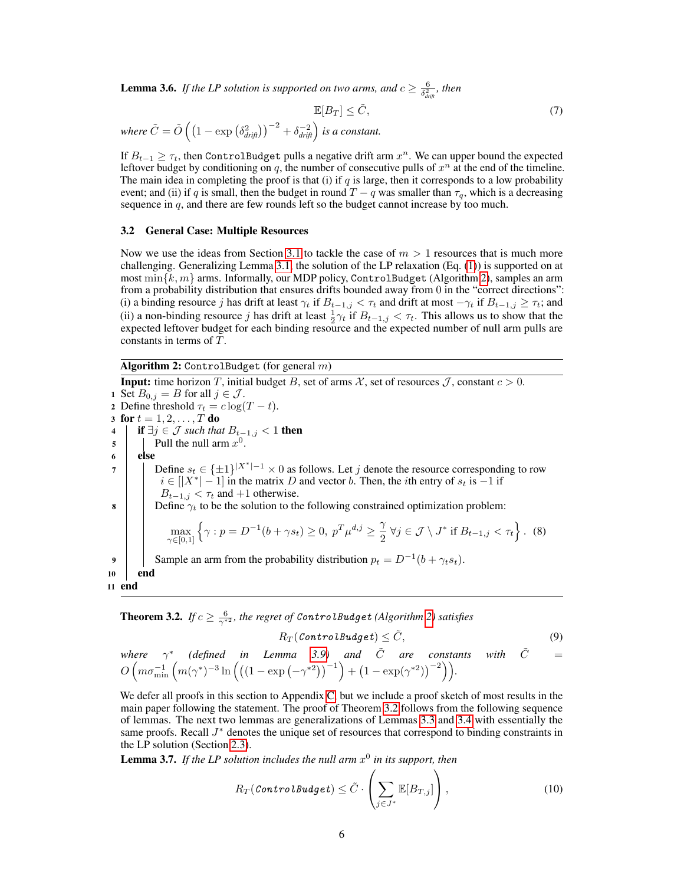**Lemma 3.6.** If the LP solution is supported on two arms, and  $c \geq \frac{6}{\delta_{\text{drift}}^2}$ , then

$$
\mathbb{E}[B_T] \le \tilde{C},\tag{7}
$$

where  $\tilde{C} = \tilde{O}\left(\left(1 - \exp\left(\delta_{drift}^2\right)\right)^{-2} + \delta_{drift}^{-2}\right)$  is a constant.

If  $B_{t-1} \geq \tau_t$ , then ControlBudget pulls a negative drift arm  $x^n$ . We can upper bound the expected leftover budget by conditioning on  $q$ , the number of consecutive pulls of  $x^n$  at the end of the timeline. The main idea in completing the proof is that (i) if  $q$  is large, then it corresponds to a low probability event; and (ii) if q is small, then the budget in round  $T - q$  was smaller than  $\tau_q$ , which is a decreasing sequence in  $q$ , and there are few rounds left so the budget cannot increase by too much.

### <span id="page-5-1"></span>3.2 General Case: Multiple Resources

Now we use the ideas from Section [3.1](#page-3-0) to tackle the case of  $m > 1$  resources that is much more challenging. Generalizing Lemma [3.1,](#page-3-4) the solution of the LP relaxation (Eq. [\(1\)](#page-2-1)) is supported on at most min $\{k, m\}$  arms. Informally, our MDP policy, ControlBudget (Algorithm [2\)](#page-5-0), samples an arm from a probability distribution that ensures drifts bounded away from 0 in the "correct directions": (i) a binding resource j has drift at least  $\gamma_t$  if  $B_{t-1,j} < \tau_t$  and drift at most  $-\gamma_t$  if  $B_{t-1,j} \geq \tau_t$ ; and (ii) a non-binding resource j has drift at least  $\frac{1}{2}\gamma_t$  if  $B_{t-1,j} < \tau_t$ . This allows us to show that the expected leftover budget for each binding resource and the expected number of null arm pulls are constants in terms of T.

Algorithm 2: ControlBudget (for general  $m$ )

<span id="page-5-0"></span>**Input:** time horizon T, initial budget B, set of arms X, set of resources  $\mathcal{J}$ , constant  $c > 0$ . 1 Set  $B_{0,j} = B$  for all  $j \in \mathcal{J}$ . 2 Define threshold  $\tau_t = c \log(T - t)$ . 3 for  $t = 1, 2, ..., T$  do 4 **if**  $\exists j$  ∈ *J* such that  $B_{t-1,j}$  < 1 **then**  $\mathfrak{s}$  | | Pull the null arm  $x^0$ .  $6$  else 7 | Define  $s_t \in \{\pm 1\}^{|X^*|-1} \times 0$  as follows. Let j denote the resource corresponding to row  $i \in [|X^*| - 1]$  in the matrix D and vector b. Then, the *i*th entry of  $s_t$  is  $-1$  if  $B_{t-1,j} < \tau_t$  and +1 otherwise. 8 Define  $\gamma_t$  to be the solution to the following constrained optimization problem:  $\max_{\gamma \in [0,1]}$  $\left\{\gamma: p = D^{-1}(b + \gamma s_t) \geq 0, p^T \mu^{d,j} \geq \frac{\gamma}{2}\right\}$  $\frac{\gamma}{2} \forall j \in \mathcal{J} \setminus J^* \text{ if } B_{t-1,j} < \tau_t \bigg\}.$  (8) 9 Sample an arm from the probability distribution  $p_t = D^{-1}(b + \gamma_t s_t)$ . 10 end 11 end

<span id="page-5-2"></span>**Theorem 3.2.** *If*  $c \geq \frac{6}{\gamma^{*2}}$ , the regret of ControlBudget (Algorithm [2\)](#page-5-0) satisfies

<span id="page-5-3"></span>
$$
R_T(\textit{ControlBudge} t) \leq \tilde{C},\qquad(9)
$$

where 
$$
\gamma^*
$$
 (defined in Lemma 3.9) and  $\tilde{C}$  are constants with  $\tilde{C} = O\left(m\sigma_{\min}^{-1}\left(m(\gamma^*)^{-3}\ln\left(\left((1-\exp\left(-\gamma^{*2}\right)\right)^{-1}\right) + \left(1-\exp(\gamma^{*2})\right)^{-2}\right)\right).$ 

We defer all proofs in this section to Appendix [C,](#page-17-0) but we include a proof sketch of most results in the main paper following the statement. The proof of Theorem [3.2](#page-5-2) follows from the following sequence of lemmas. The next two lemmas are generalizations of Lemmas [3.3](#page-4-0) and [3.4](#page-4-1) with essentially the same proofs. Recall  $J^*$  denotes the unique set of resources that correspond to binding constraints in the LP solution (Section [2.3\)](#page-2-2).

**Lemma 3.7.** If the LP solution includes the null arm  $x^0$  in its support, then

$$
R_T(\textit{ControlBudge} t) \leq \tilde{C} \cdot \left( \sum_{j \in J^*} \mathbb{E}[B_{T,j}] \right), \tag{10}
$$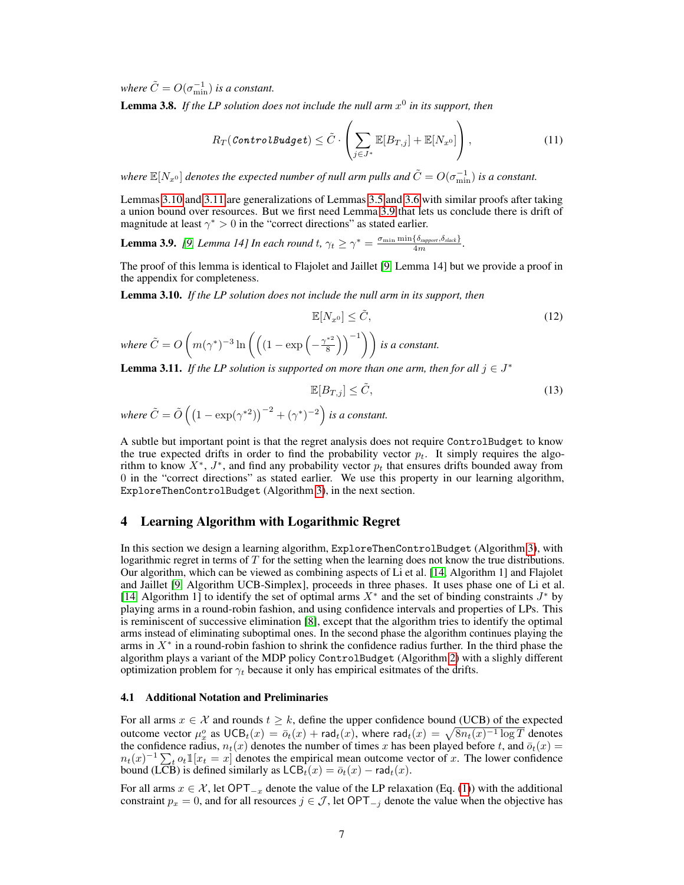*where*  $\tilde{C} = O(\sigma_{\min}^{-1})$  *is a constant.* 

Lemma 3.8. *If the LP solution does not include the null arm* x 0 *in its support, then*

$$
R_T(\textit{ControlBudge} t) \leq \tilde{C} \cdot \left( \sum_{j \in J^*} \mathbb{E}[B_{T,j}] + \mathbb{E}[N_{x^0}]\right), \tag{11}
$$

where  $\mathbb{E}[N_{x^0}]$  denotes the expected number of null arm pulls and  $\tilde{C}=O(\sigma_{\min}^{-1})$  is a constant.

Lemmas [3.10](#page-6-1) and [3.11](#page-6-2) are generalizations of Lemmas [3.5](#page-4-2) and [3.6](#page-4-3) with similar proofs after taking a union bound over resources. But we first need Lemma [3.9](#page-6-0) that lets us conclude there is drift of magnitude at least  $\gamma^* > 0$  in the "correct directions" as stated earlier.

<span id="page-6-0"></span>**Lemma 3.9.** *[\[9,](#page-9-6) Lemma 14] In each round t,*  $\gamma_t \geq \gamma^* = \frac{\sigma_{\min} \min \{\delta_{\text{support}}, \delta_{\text{slack}}\}}{4m}$ .

The proof of this lemma is identical to Flajolet and Jaillet [\[9,](#page-9-6) Lemma 14] but we provide a proof in the appendix for completeness.

<span id="page-6-1"></span>Lemma 3.10. *If the LP solution does not include the null arm in its support, then*

$$
\mathbb{E}[N_{x^0}] \leq \tilde{C},\tag{12}
$$

where  $\tilde{C} = O\left(m(\gamma^*)^{-3} \ln\left(\left(\left(1 - \exp\left(-\frac{\gamma^*^2}{8}\right)\right)\right)\right)\right)\right)$  $\binom{1}{8}$   $\binom{-1}{8}$  *is a constant.* 

<span id="page-6-2"></span>**Lemma 3.11.** *If the LP solution is supported on more than one arm, then for all*  $j \in J^*$ 

$$
\mathbb{E}[B_{T,j}] \le \tilde{C},\tag{13}
$$

where 
$$
\tilde{C} = \tilde{O}((1 - \exp(\gamma^{*2}))^{-2} + (\gamma^{*})^{-2})
$$
 is a constant.

A subtle but important point is that the regret analysis does not require ControlBudget to know the true expected drifts in order to find the probability vector  $p_t$ . It simply requires the algorithm to know  $X^*$ ,  $J^*$ , and find any probability vector  $p_t$  that ensures drifts bounded away from 0 in the "correct directions" as stated earlier. We use this property in our learning algorithm, ExploreThenControlBudget (Algorithm [3\)](#page-7-1), in the next section.

# <span id="page-6-3"></span>4 Learning Algorithm with Logarithmic Regret

In this section we design a learning algorithm, ExploreThenControlBudget (Algorithm [3\)](#page-7-1), with logarithmic regret in terms of  $T$  for the setting when the learning does not know the true distributions. Our algorithm, which can be viewed as combining aspects of Li et al. [\[14,](#page-9-1) Algorithm 1] and Flajolet and Jaillet [\[9,](#page-9-6) Algorithm UCB-Simplex], proceeds in three phases. It uses phase one of Li et al. [\[14,](#page-9-1) Algorithm 1] to identify the set of optimal arms  $X^*$  and the set of binding constraints  $J^*$  by playing arms in a round-robin fashion, and using confidence intervals and properties of LPs. This is reminiscent of successive elimination [\[8\]](#page-9-16), except that the algorithm tries to identify the optimal arms instead of eliminating suboptimal ones. In the second phase the algorithm continues playing the arms in  $X^*$  in a round-robin fashion to shrink the confidence radius further. In the third phase the algorithm plays a variant of the MDP policy ControlBudget (Algorithm [2\)](#page-5-0) with a slighly different optimization problem for  $\gamma_t$  because it only has empirical esitmates of the drifts.

### 4.1 Additional Notation and Preliminaries

For all arms  $x \in \mathcal{X}$  and rounds  $t \geq k$ , define the upper confidence bound (UCB) of the expected outcome vector  $\mu_x^o$  as  $\mathsf{UCB}_t(x) = \bar{o}_t(x) + \mathsf{rad}_t(x)$ , where  $\mathsf{rad}_t(x) = \sqrt{8n_t(x)^{-1}\log T}$  denotes the confidence radius,  $n_t(x)$  denotes the number of times x has been played before t, and  $\bar{o}_t(x)$  =  $n_t(x)^{-1} \sum_t o_t \mathbb{1}[x_t = x]$  denotes the empirical mean outcome vector of x. The lower confidence bound (LCB) is defined similarly as  $\mathsf{LCB}_t(x) = \overline{o}_t(x) - \mathsf{rad}_t(x)$ .

For all arms  $x \in \mathcal{X}$ , let OPT<sub> $-x$ </sub> denote the value of the LP relaxation (Eq. [\(1\)](#page-2-1)) with the additional constraint  $p_x = 0$ , and for all resources  $j \in \mathcal{J}$ , let OPT<sub> $-j$ </sub> denote the value when the objective has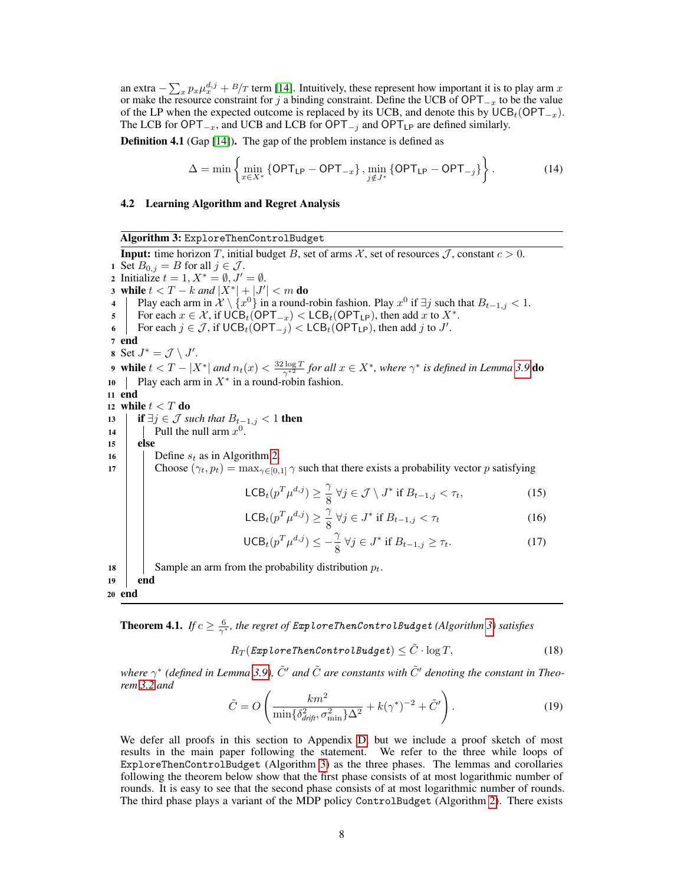an extra  $-\sum_{x} p_x \mu_x^{d,j} + B/T$  term [\[14\]](#page-9-1). Intuitively, these represent how important it is to play arm x or make the resource constraint for j a binding constraint. Define the UCB of  $OPT_{-x}$  to be the value of the LP when the expected outcome is replaced by its UCB, and denote this by  $\text{UCB}_t(\text{OPT}_{-x})$ . The LCB for OPT<sub> $-x$ </sub>, and UCB and LCB for OPT<sub> $-y$ </sub> and OPT<sub>LP</sub> are defined similarly.

<span id="page-7-0"></span>Definition 4.1 (Gap [\[14\]](#page-9-1)). The gap of the problem instance is defined as

$$
\Delta = \min \left\{ \min_{x \in X^*} \left\{ \mathsf{OPT}_{\mathsf{LP}} - \mathsf{OPT}_{-x} \right\}, \min_{j \notin J^*} \left\{ \mathsf{OPT}_{\mathsf{LP}} - \mathsf{OPT}_{-j} \right\} \right\}.
$$
 (14)

### 4.2 Learning Algorithm and Regret Analysis

Algorithm 3: ExploreThenControlBudget

<span id="page-7-1"></span>**Input:** time horizon T, initial budget B, set of arms X, set of resources J, constant  $c > 0$ . 1 Set  $B_{0,j} = B$  for all  $j \in \mathcal{J}$ . 2 Initialize  $t = 1, X^* = \emptyset, J' = \emptyset$ . 3 while  $t < T - k$  and  $|X^*| + |J'| < m$  do 4 Play each arm in  $\mathcal{X} \setminus \{x^0\}$  in a round-robin fashion. Play  $x^0$  if  $\exists j$  such that  $B_{t-1,j} < 1$ . 5 For each  $x \in \mathcal{X}$ , if  $\widehat{UCB}_t(\widehat{OPT}_{-x}) < LCB_t(\widehat{OPT}_{\mathsf{LP}})$ , then add x to  $X^*$ . 6 For each  $j \in \mathcal{J}$ , if  $\mathsf{UCB}_t(\mathsf{OPT}_{-j}) < \mathsf{LCB}_t(\mathsf{OPT}_{\mathsf{LP}})$ , then add j to J'. 7 end 8 Set  $J^* = \mathcal{J} \setminus J'$ . 9 while  $t < T - |X^*|$  and  $n_t(x) < \frac{32 \log T}{\gamma^{*2}}$  for all  $x \in X^*$ , where  $\gamma^*$  is defined in Lemma [3.9](#page-6-0) do 10 | Play each arm in  $X^*$  in a round-robin fashion. 11 end 12 while  $t < T$  do 13 **if**  $\exists j \in \mathcal{J}$  *such that*  $B_{t-1,j} < 1$  **then** 14 | Pull the null arm  $x^0$ . 15 else 16 | Define  $s_t$  as in Algorithm [2.](#page-5-0) 17 Choose  $(\gamma_t, p_t) = \max_{\gamma \in [0,1]} \gamma$  such that there exists a probability vector p satisfying LCB<sub>t</sub> $(p^T \mu^{d,j}) \geq \frac{\gamma}{8}$  $\frac{1}{8}$   $\forall j \in \mathcal{J} \setminus J^*$  if  $B_{t-1,j} < \tau_t$ , (15) LCB<sub>t</sub> $(p^T \mu^{d,j}) \geq \frac{\gamma}{8}$  $\frac{7}{8}$  ∀j ∈ J\* if  $B_{t-1,j} < \tau_t$  (16)  $\mathsf{UCB}_t(p^T \mu^{d,j}) \leq -\frac{\gamma}{\delta}$  $\frac{\gamma}{8}$   $\forall j \in J^*$  if  $B_{t-1,j} \geq \tau_t$ . (17) 18 | Sample an arm from the probability distribution  $p_t$ . 19 end <sup>20</sup> end

<span id="page-7-3"></span><span id="page-7-2"></span>**Theorem 4.1.** If  $c \geq \frac{6}{\gamma^*}$ , the regret of ExploreThenControlBudget (Algorithm [3\)](#page-7-1) satisfies

<span id="page-7-5"></span><span id="page-7-4"></span>
$$
R_T(\textit{ExploreThenControlBudge}t) \leq \tilde{C} \cdot \log T, \tag{18}
$$

where  $\gamma^*$  (defined in Lemma [3.9\)](#page-6-0),  $\tilde{C}'$  and  $\tilde{C}$  are constants with  $\tilde{C}'$  denoting the constant in Theo*rem [3.2](#page-5-2) and*

$$
\tilde{C} = O\left(\frac{km^2}{\min\{\delta_{drift}^2, \sigma_{\min}^2\}\Delta^2} + k(\gamma^*)^{-2} + \tilde{C}'\right). \tag{19}
$$

We defer all proofs in this section to Appendix [D,](#page-19-0) but we include a proof sketch of most results in the main paper following the statement. We refer to the three while loops of ExploreThenControlBudget (Algorithm [3\)](#page-7-1) as the three phases. The lemmas and corollaries following the theorem below show that the first phase consists of at most logarithmic number of rounds. It is easy to see that the second phase consists of at most logarithmic number of rounds. The third phase plays a variant of the MDP policy ControlBudget (Algorithm [2\)](#page-5-0). There exists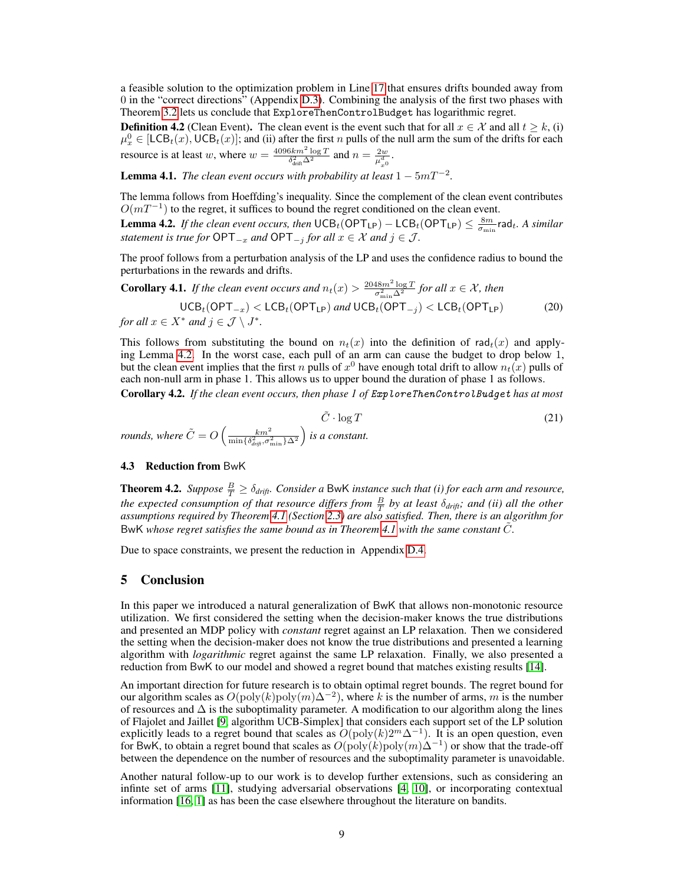a feasible solution to the optimization problem in Line [17](#page-7-2) that ensures drifts bounded away from 0 in the "correct directions" (Appendix [D.3\)](#page-20-0). Combining the analysis of the first two phases with Theorem [3.2](#page-5-2) lets us conclude that ExploreThenControlBudget has logarithmic regret.

<span id="page-8-3"></span>**Definition 4.2** (Clean Event). The clean event is the event such that for all  $x \in \mathcal{X}$  and all  $t \geq k$ , (i)  $\mu_x^0 \in [LCB_t(x),UCB_t(x)];$  and (ii) after the first n pulls of the null arm the sum of the drifts for each resource is at least w, where  $w = \frac{4096km^2 \log T}{\delta^2 \Delta^2}$  $\frac{3km^2\log T}{\delta_{\text{drift}}^2\Delta^2}$  and  $n=\frac{2w}{\mu_{x0}^d}$ .

<span id="page-8-2"></span>**Lemma 4.1.** *The clean event occurs with probability at least*  $1 - 5mT^{-2}$ *.* 

The lemma follows from Hoeffding's inequality. Since the complement of the clean event contributes  $O(mT^{-1})$  to the regret, it suffices to bound the regret conditioned on the clean event.

<span id="page-8-0"></span>**Lemma 4.2.** If the clean event occurs, then  $\mathsf{UCB}_t(\mathsf{OPT}_{\mathsf{LP}}) - \mathsf{LCB}_t(\mathsf{OPT}_{\mathsf{LP}}) \leq \frac{8m}{\sigma_{\min}}$  rad<sub>t</sub>. A similar *statement is true for*  $\mathsf{OPT}_{-x}$  *and*  $\mathsf{OPT}_{-j}$  *for all*  $x \in \mathcal{X}$  *and*  $j \in \mathcal{J}$ *.* 

The proof follows from a perturbation analysis of the LP and uses the confidence radius to bound the perturbations in the rewards and drifts.

**Corollary 4.1.** If the clean event occurs and  $n_t(x) > \frac{2048m^2 \log T}{\sigma^2 \sqrt{\lambda^2}}$  $\frac{d^{3}N^{m-1} \log T}{\sigma_{\min}^2 \Delta^2}$  for all  $x \in \mathcal{X}$ , then

 $\mathsf{UCB}_t(\mathsf{OPT}_{-x}) < \mathsf{LCB}_t(\mathsf{OPT}_{\mathsf{LP}})$  *and*  $\mathsf{UCB}_t(\mathsf{OPT}_{-j}) < \mathsf{LCB}_t(\mathsf{OPT}_{\mathsf{LP}})$  (20) *for all*  $x \in X^*$  *and*  $j \in \mathcal{J} \setminus J^*$ *.* 

This follows from substituting the bound on  $n_t(x)$  into the definition of rad $_t(x)$  and applying Lemma [4.2.](#page-8-0) In the worst case, each pull of an arm can cause the budget to drop below 1, but the clean event implies that the first n pulls of  $x^0$  have enough total drift to allow  $n_t(x)$  pulls of each non-null arm in phase 1. This allows us to upper bound the duration of phase 1 as follows.

<span id="page-8-4"></span>Corollary 4.2. *If the clean event occurs, then phase 1 of* ExploreThenControlBudget *has at most*

 $\tilde{C} \cdot \log T$  (21) *rounds, where*  $\tilde{C} = O\left(\frac{km^2}{\min\{\delta_{d\vec{r}\vec{\theta}},\sigma_{\min}^2\}\Delta^2}\right)$ *is a constant.*

# 4.3 Reduction from BwK

<span id="page-8-5"></span>**Theorem 4.2.** *Suppose*  $\frac{B}{T} \geq \delta_{drift}$ *. Consider a BwK instance such that (i) for each arm and resource, the expected consumption of that resource differs from*  $\frac{B}{T}$  *by at least*  $\delta_{drift}$ *, and (ii) all the other assumptions required by Theorem [4.1](#page-7-3) (Section [2.3\)](#page-2-2) are also satisfied. Then, there is an algorithm for* BwK whose regret satisfies the same bound as in Theorem [4.1](#page-7-3) with the same constant C.

Due to space constraints, we present the reduction in Appendix [D.4.](#page-21-0)

### <span id="page-8-1"></span>5 Conclusion

In this paper we introduced a natural generalization of BwK that allows non-monotonic resource utilization. We first considered the setting when the decision-maker knows the true distributions and presented an MDP policy with *constant* regret against an LP relaxation. Then we considered the setting when the decision-maker does not know the true distributions and presented a learning algorithm with *logarithmic* regret against the same LP relaxation. Finally, we also presented a reduction from BwK to our model and showed a regret bound that matches existing results [\[14\]](#page-9-1).

An important direction for future research is to obtain optimal regret bounds. The regret bound for our algorithm scales as  $O(\text{poly}(k)\text{poly}(m)\Delta^{-2})$ , where k is the number of arms, m is the number of resources and  $\Delta$  is the suboptimality parameter. A modification to our algorithm along the lines of Flajolet and Jaillet [\[9,](#page-9-6) algorithm UCB-Simplex] that considers each support set of the LP solution explicitly leads to a regret bound that scales as  $O(poly(k)2<sup>m</sup>∆<sup>-1</sup>)$ . It is an open question, even for BwK, to obtain a regret bound that scales as  $O(poly(k)poly(m)Δ^{-1})$  or show that the trade-off between the dependence on the number of resources and the suboptimality parameter is unavoidable.

Another natural follow-up to our work is to develop further extensions, such as considering an infinte set of arms [\[11\]](#page-9-11), studying adversarial observations [\[4,](#page-9-9) [10\]](#page-9-12), or incorporating contextual information [\[16,](#page-9-10) [1\]](#page-9-14) as has been the case elsewhere throughout the literature on bandits.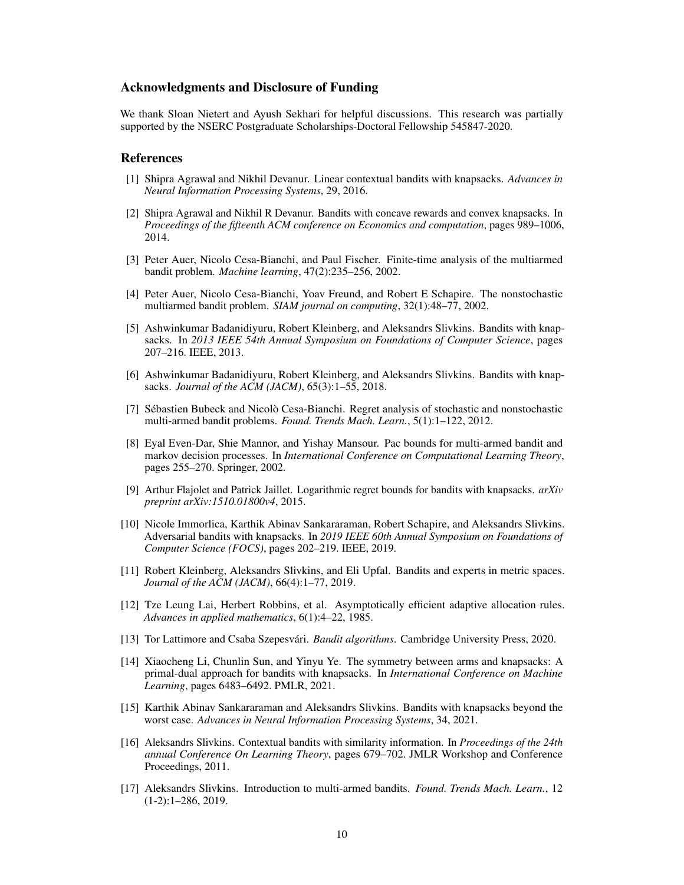# Acknowledgments and Disclosure of Funding

We thank Sloan Nietert and Ayush Sekhari for helpful discussions. This research was partially supported by the NSERC Postgraduate Scholarships-Doctoral Fellowship 545847-2020.

### References

- <span id="page-9-14"></span>[1] Shipra Agrawal and Nikhil Devanur. Linear contextual bandits with knapsacks. *Advances in Neural Information Processing Systems*, 29, 2016.
- <span id="page-9-13"></span>[2] Shipra Agrawal and Nikhil R Devanur. Bandits with concave rewards and convex knapsacks. In *Proceedings of the fifteenth ACM conference on Economics and computation*, pages 989–1006, 2014.
- <span id="page-9-8"></span>[3] Peter Auer, Nicolo Cesa-Bianchi, and Paul Fischer. Finite-time analysis of the multiarmed bandit problem. *Machine learning*, 47(2):235–256, 2002.
- <span id="page-9-9"></span>[4] Peter Auer, Nicolo Cesa-Bianchi, Yoav Freund, and Robert E Schapire. The nonstochastic multiarmed bandit problem. *SIAM journal on computing*, 32(1):48–77, 2002.
- <span id="page-9-5"></span>[5] Ashwinkumar Badanidiyuru, Robert Kleinberg, and Aleksandrs Slivkins. Bandits with knapsacks. In *2013 IEEE 54th Annual Symposium on Foundations of Computer Science*, pages 207–216. IEEE, 2013.
- <span id="page-9-0"></span>[6] Ashwinkumar Badanidiyuru, Robert Kleinberg, and Aleksandrs Slivkins. Bandits with knapsacks. *Journal of the ACM (JACM)*, 65(3):1–55, 2018.
- <span id="page-9-2"></span>[7] Sébastien Bubeck and Nicolò Cesa-Bianchi. Regret analysis of stochastic and nonstochastic multi-armed bandit problems. *Found. Trends Mach. Learn.*, 5(1):1–122, 2012.
- <span id="page-9-16"></span>[8] Eyal Even-Dar, Shie Mannor, and Yishay Mansour. Pac bounds for multi-armed bandit and markov decision processes. In *International Conference on Computational Learning Theory*, pages 255–270. Springer, 2002.
- <span id="page-9-6"></span>[9] Arthur Flajolet and Patrick Jaillet. Logarithmic regret bounds for bandits with knapsacks. *arXiv preprint arXiv:1510.01800v4*, 2015.
- <span id="page-9-12"></span>[10] Nicole Immorlica, Karthik Abinav Sankararaman, Robert Schapire, and Aleksandrs Slivkins. Adversarial bandits with knapsacks. In *2019 IEEE 60th Annual Symposium on Foundations of Computer Science (FOCS)*, pages 202–219. IEEE, 2019.
- <span id="page-9-11"></span>[11] Robert Kleinberg, Aleksandrs Slivkins, and Eli Upfal. Bandits and experts in metric spaces. *Journal of the ACM (JACM)*, 66(4):1–77, 2019.
- <span id="page-9-7"></span>[12] Tze Leung Lai, Herbert Robbins, et al. Asymptotically efficient adaptive allocation rules. *Advances in applied mathematics*, 6(1):4–22, 1985.
- <span id="page-9-4"></span>[13] Tor Lattimore and Csaba Szepesvári. *Bandit algorithms*. Cambridge University Press, 2020.
- <span id="page-9-1"></span>[14] Xiaocheng Li, Chunlin Sun, and Yinyu Ye. The symmetry between arms and knapsacks: A primal-dual approach for bandits with knapsacks. In *International Conference on Machine Learning*, pages 6483–6492. PMLR, 2021.
- <span id="page-9-15"></span>[15] Karthik Abinav Sankararaman and Aleksandrs Slivkins. Bandits with knapsacks beyond the worst case. *Advances in Neural Information Processing Systems*, 34, 2021.
- <span id="page-9-10"></span>[16] Aleksandrs Slivkins. Contextual bandits with similarity information. In *Proceedings of the 24th annual Conference On Learning Theory*, pages 679–702. JMLR Workshop and Conference Proceedings, 2011.
- <span id="page-9-3"></span>[17] Aleksandrs Slivkins. Introduction to multi-armed bandits. *Found. Trends Mach. Learn.*, 12 (1-2):1–286, 2019.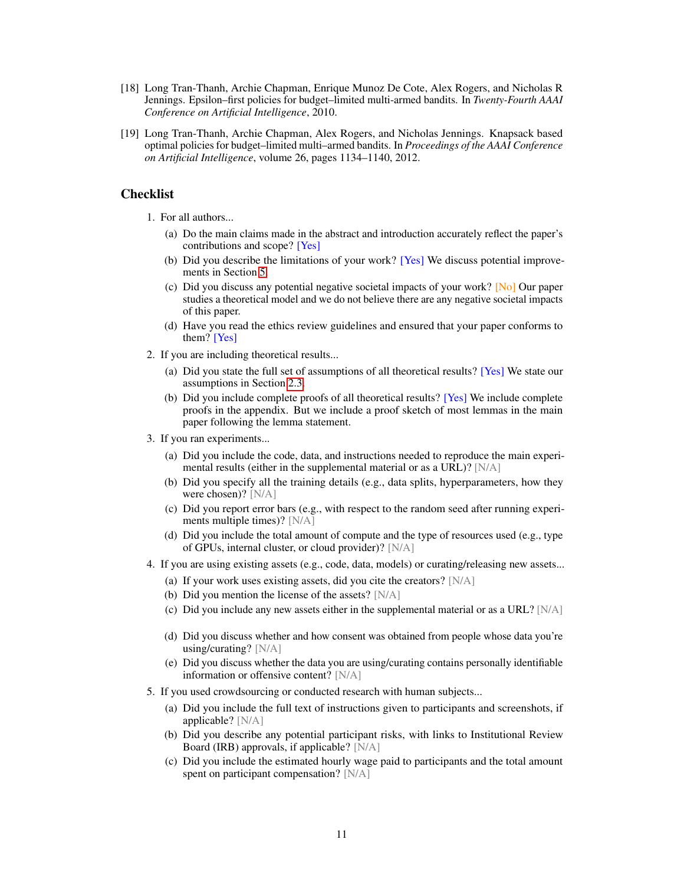- <span id="page-10-0"></span>[18] Long Tran-Thanh, Archie Chapman, Enrique Munoz De Cote, Alex Rogers, and Nicholas R Jennings. Epsilon–first policies for budget–limited multi-armed bandits. In *Twenty-Fourth AAAI Conference on Artificial Intelligence*, 2010.
- <span id="page-10-1"></span>[19] Long Tran-Thanh, Archie Chapman, Alex Rogers, and Nicholas Jennings. Knapsack based optimal policies for budget–limited multi–armed bandits. In *Proceedings of the AAAI Conference on Artificial Intelligence*, volume 26, pages 1134–1140, 2012.

# **Checklist**

- 1. For all authors...
	- (a) Do the main claims made in the abstract and introduction accurately reflect the paper's contributions and scope? [Yes]
	- (b) Did you describe the limitations of your work? [Yes] We discuss potential improvements in Section [5.](#page-8-1)
	- (c) Did you discuss any potential negative societal impacts of your work? [No] Our paper studies a theoretical model and we do not believe there are any negative societal impacts of this paper.
	- (d) Have you read the ethics review guidelines and ensured that your paper conforms to them? [Yes]
- 2. If you are including theoretical results...
	- (a) Did you state the full set of assumptions of all theoretical results? [Yes] We state our assumptions in Section [2.3.](#page-2-2)
	- (b) Did you include complete proofs of all theoretical results? [Yes] We include complete proofs in the appendix. But we include a proof sketch of most lemmas in the main paper following the lemma statement.
- 3. If you ran experiments...
	- (a) Did you include the code, data, and instructions needed to reproduce the main experimental results (either in the supplemental material or as a URL)? [N/A]
	- (b) Did you specify all the training details (e.g., data splits, hyperparameters, how they were chosen)? [N/A]
	- (c) Did you report error bars (e.g., with respect to the random seed after running experiments multiple times)? [N/A]
	- (d) Did you include the total amount of compute and the type of resources used (e.g., type of GPUs, internal cluster, or cloud provider)? [N/A]
- 4. If you are using existing assets (e.g., code, data, models) or curating/releasing new assets...
	- (a) If your work uses existing assets, did you cite the creators? [N/A]
	- (b) Did you mention the license of the assets? [N/A]
	- (c) Did you include any new assets either in the supplemental material or as a URL?  $[N/A]$
	- (d) Did you discuss whether and how consent was obtained from people whose data you're using/curating? [N/A]
	- (e) Did you discuss whether the data you are using/curating contains personally identifiable information or offensive content? [N/A]
- 5. If you used crowdsourcing or conducted research with human subjects...
	- (a) Did you include the full text of instructions given to participants and screenshots, if applicable? [N/A]
	- (b) Did you describe any potential participant risks, with links to Institutional Review Board (IRB) approvals, if applicable? [N/A]
	- (c) Did you include the estimated hourly wage paid to participants and the total amount spent on participant compensation? [N/A]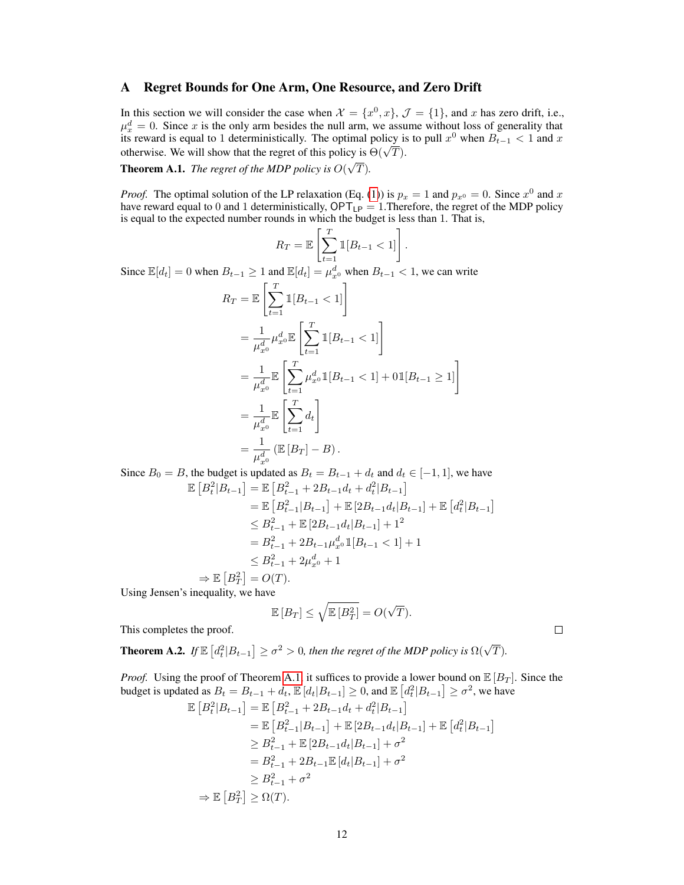# <span id="page-11-0"></span>A Regret Bounds for One Arm, One Resource, and Zero Drift

In this section we will consider the case when  $\mathcal{X} = \{x^0, x\}$ ,  $\mathcal{J} = \{1\}$ , and x has zero drift, i.e.,  $\mu_x^d = 0$ . Since x is the only arm besides the null arm, we assume without loss of generality that its reward is equal to 1 deterministically. The optimal policy is to pull  $x^0$  when  $B_{t-1} < 1$  and x The optimal is equal to 1 deterministically. The optimal policy is  $\Theta(\sqrt{T})$ . √

<span id="page-11-1"></span>Theorem A.1. *The regret of the MDP policy is* O( T)*.*

*Proof.* The optimal solution of the LP relaxation (Eq. [\(1\)](#page-2-1)) is  $p_x = 1$  and  $p_{x0} = 0$ . Since  $x^0$  and x have reward equal to 0 and 1 deterministically,  $OPT_{LP} = 1$ . Therefore, the regret of the MDP policy is equal to the expected number rounds in which the budget is less than 1. That is,

$$
R_T = \mathbb{E}\left[\sum_{t=1}^T \mathbb{1}[B_{t-1} < 1]\right].
$$
\nSince  $\mathbb{E}[d_t] = 0$  when  $B_{t-1} \ge 1$  and  $\mathbb{E}[d_t] = \mu_{x^0}^d$  when  $B_{t-1} < 1$ , we can write\n
$$
R_T = \mathbb{E}\left[\sum_{t=1}^T \mathbb{1}[B_{t-1} < 1]\right]
$$
\n
$$
= \frac{1}{\mu_{x^0}^d} \mu_{x^0}^d \mathbb{E}\left[\sum_{t=1}^T \mathbb{1}[B_{t-1} < 1]\right]
$$
\n
$$
= \frac{1}{\mu_{x^0}^d} \mathbb{E}\left[\sum_{t=1}^T \mu_{x^0}^d \mathbb{1}[B_{t-1} < 1] + 0\mathbb{1}[B_{t-1} \ge 1]\right]
$$
\n
$$
= \frac{1}{\mu_{x^0}^d} \mathbb{E}\left[\sum_{t=1}^T d_t\right]
$$
\n
$$
= \frac{1}{\mu_{x^0}^d} \left(\mathbb{E}[B_T] - B\right).
$$

Since  $B_0 = B$ , the budget is updated as  $B_t = B_{t-1} + d_t$  and  $d_t \in [-1, 1]$ , we have  $\mathbb{E}\left[B_t^2|B_{t-1}\right] = \mathbb{E}\left[B_{t-1}^2 + 2B_{t-1}d_t + d_t^2|B_{t-1}\right]$  $=\mathbb{E}\left[B_{t-1}^2|B_{t-1}\right]+\mathbb{E}\left[2B_{t-1}d_t|B_{t-1}\right]+\mathbb{E}\left[d_t^2|B_{t-1}\right]$  $\leq B_{t-1}^2 + \mathbb{E} [2B_{t-1}d_t|B_{t-1}] + 1^2$  $= B_{t-1}^2 + 2B_{t-1} \mu_{x^0}^d \mathbb{1}[B_{t-1} < 1] + 1$  $\leq B_{t-1}^2 + 2\mu_{x^0}^d + 1$  $\Rightarrow \mathbb{E}[B_T^2] = O(T).$ Using Jensen's inequality, we have

$$
\mathbb{E}[B_T] \le \sqrt{\mathbb{E}[B_T^2]} = O(\sqrt{T}).
$$

This completes the proof.

**Theorem A.2.** If  $\mathbb{E}\left[d_t^2|B_{t-1}\right] \geq \sigma^2 > 0$ , then the regret of the MDP policy is  $\Omega(\sqrt{T})$ .

*Proof.* Using the proof of Theorem [A.1,](#page-11-1) it suffices to provide a lower bound on  $\mathbb{E}[B_T]$ . Since the budget is updated as  $B_t = B_{t-1} + d_t$ ,  $\mathbb{E}[d_t|B_{t-1}] \geq 0$ , and  $\mathbb{E}[d_t^2|B_{t-1}] \geq \sigma^2$ , we have

$$
\mathbb{E}\left[B_t^2|B_{t-1}\right] = \mathbb{E}\left[B_{t-1}^2 + 2B_{t-1}d_t + d_t^2|B_{t-1}\right]
$$
  
\n
$$
= \mathbb{E}\left[B_{t-1}^2|B_{t-1}\right] + \mathbb{E}\left[2B_{t-1}d_t|B_{t-1}\right] + \mathbb{E}\left[d_t^2|B_{t-1}\right]
$$
  
\n
$$
\geq B_{t-1}^2 + \mathbb{E}\left[2B_{t-1}d_t|B_{t-1}\right] + \sigma^2
$$
  
\n
$$
= B_{t-1}^2 + 2B_{t-1}\mathbb{E}\left[d_t|B_{t-1}\right] + \sigma^2
$$
  
\n
$$
\geq B_{t-1}^2 + \sigma^2
$$
  
\n
$$
\Rightarrow \mathbb{E}\left[B_T^2\right] \geq \Omega(T).
$$

 $\Box$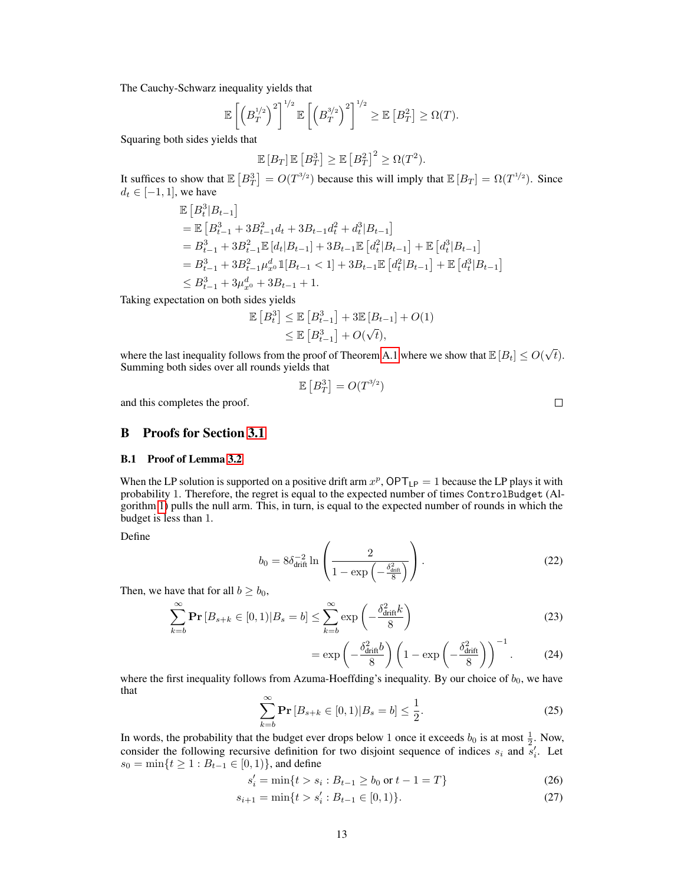The Cauchy-Schwarz inequality yields that

$$
\mathbb{E}\left[\left(B_T^{1/2}\right)^2\right]^{1/2}\mathbb{E}\left[\left(B_T^{3/2}\right)^2\right]^{1/2}\geq \mathbb{E}\left[B_T^2\right]\geq \Omega(T).
$$

Squaring both sides yields that

$$
\mathbb{E}[B_T] \mathbb{E}[B_T^3] \ge \mathbb{E}[B_T^2]^2 \ge \Omega(T^2).
$$

It suffices to show that  $\mathbb{E}\left[B_T^3\right] = O(T^{3/2})$  because this will imply that  $\mathbb{E}\left[B_T\right] = \Omega(T^{1/2})$ . Since  $d_t \in [-1, 1]$ , we have

$$
\mathbb{E}\left[B_t^3|B_{t-1}\right]
$$
\n
$$
= \mathbb{E}\left[B_{t-1}^3 + 3B_{t-1}^2d_t + 3B_{t-1}d_t^2 + d_t^3|B_{t-1}\right]
$$
\n
$$
= B_{t-1}^3 + 3B_{t-1}^2 \mathbb{E}\left[d_t|B_{t-1}\right] + 3B_{t-1} \mathbb{E}\left[d_t^2|B_{t-1}\right] + \mathbb{E}\left[d_t^3|B_{t-1}\right]
$$
\n
$$
= B_{t-1}^3 + 3B_{t-1}^2 \mu_x^d \mathbb{1}[B_{t-1} < 1] + 3B_{t-1} \mathbb{E}\left[d_t^2|B_{t-1}\right] + \mathbb{E}\left[d_t^3|B_{t-1}\right]
$$
\n
$$
\leq B_{t-1}^3 + 3\mu_x^d \mathbb{1}[B_{t-1} + 1].
$$

Taking expectation on both sides yields

$$
\mathbb{E}\left[B_t^3\right] \le \mathbb{E}\left[B_{t-1}^3\right] + 3\mathbb{E}\left[B_{t-1}\right] + O(1) \le \mathbb{E}\left[B_{t-1}^3\right] + O(\sqrt{t}),
$$

where the last inequality follows from the proof of Theorem [A.1](#page-11-1) where we show that  $\mathbb{E}[B_t] \le O(\sqrt{\epsilon})$  $t).$ Summing both sides over all rounds yields that

$$
\mathbb{E}\left[B_T^3\right] = O(T^{3/2})
$$

and this completes the proof.

<span id="page-12-0"></span>B Proofs for Section [3.1](#page-3-0)

### B.1 Proof of Lemma [3.2](#page-4-4)

When the LP solution is supported on a positive drift arm  $x^p$ ,  $\mathsf{OPT}_{\mathsf{LP}} = 1$  because the LP plays it with probability 1. Therefore, the regret is equal to the expected number of times ControlBudget (Algorithm [1\)](#page-3-1) pulls the null arm. This, in turn, is equal to the expected number of rounds in which the budget is less than 1.

Define

$$
b_0 = 8\delta_{\text{drift}}^{-2} \ln \left( \frac{2}{1 - \exp\left( -\frac{\delta_{\text{drift}}^2}{8} \right)} \right). \tag{22}
$$

Then, we have that for all  $b \ge b_0$ ,

$$
\sum_{k=b}^{\infty} \mathbf{Pr}\left[B_{s+k} \in [0,1) | B_s = b\right] \le \sum_{k=b}^{\infty} \exp\left(-\frac{\delta_{\text{drift}}^2 k}{8}\right)
$$
\n(23)

$$
= \exp\left(-\frac{\delta_{\text{drift}}^2 b}{8}\right) \left(1 - \exp\left(-\frac{\delta_{\text{drift}}^2}{8}\right)\right)^{-1}.
$$
 (24)

<span id="page-12-1"></span>where the first inequality follows from Azuma-Hoeffding's inequality. By our choice of  $b_0$ , we have that

$$
\sum_{k=b}^{\infty} \mathbf{Pr}\left[B_{s+k} \in [0,1) | B_s = b\right] \le \frac{1}{2}.
$$
\n(25)

In words, the probability that the budget ever drops below 1 once it exceeds  $b_0$  is at most  $\frac{1}{2}$ . Now, consider the following recursive definition for two disjoint sequence of indices  $s_i$  and  $s'_i$ . Let  $s_0 = \min\{t \geq 1 : B_{t-1} \in [0,1)\}\$ , and define

$$
s_i' = \min\{t > s_i : B_{t-1} \ge b_0 \text{ or } t - 1 = T\}
$$
 (26)

$$
s_{i+1} = \min\{t > s'_i : B_{t-1} \in [0, 1)\}.
$$
\n(27)

 $\Box$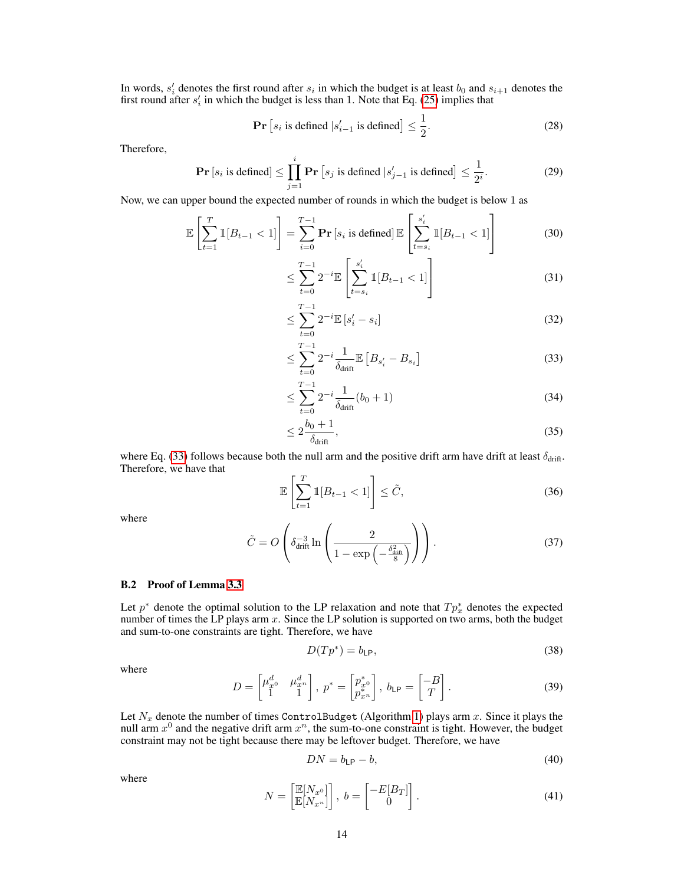In words,  $s_i'$  denotes the first round after  $s_i$  in which the budget is at least  $b_0$  and  $s_{i+1}$  denotes the first round after  $s_i$  in which the budget is less than 1. Note that Eq. [\(25\)](#page-12-1) implies that

$$
\Pr\left[s_i \text{ is defined } |s'_{i-1} \text{ is defined}\right] \le \frac{1}{2}.\tag{28}
$$

Therefore,

$$
\mathbf{Pr}\left[s_i \text{ is defined}\right] \le \prod_{j=1}^i \mathbf{Pr}\left[s_j \text{ is defined } |s'_{j-1} \text{ is defined}\right] \le \frac{1}{2^i}.\tag{29}
$$

Now, we can upper bound the expected number of rounds in which the budget is below 1 as

$$
\mathbb{E}\left[\sum_{t=1}^{T} \mathbb{1}[B_{t-1} < 1]\right] = \sum_{i=0}^{T-1} \mathbf{Pr}\left[s_i \text{ is defined}\right] \mathbb{E}\left[\sum_{t=s_i}^{s_i'} \mathbb{1}[B_{t-1} < 1]\right] \tag{30}
$$

$$
\leq \sum_{t=0}^{T-1} 2^{-i} \mathbb{E} \left[ \sum_{t=s_i}^{s_i'} \mathbb{1}[B_{t-1} < 1] \right] \tag{31}
$$

$$
\leq \sum_{t=0}^{T-1} 2^{-i} \mathbb{E}\left[s_i' - s_i\right] \tag{32}
$$

<span id="page-13-0"></span>
$$
\leq \sum_{t=0}^{T-1} 2^{-i} \frac{1}{\delta_{\text{drift}}} \mathbb{E}\left[B_{s_i'} - B_{s_i}\right] \tag{33}
$$

$$
\leq \sum_{t=0}^{T-1} 2^{-i} \frac{1}{\delta_{\text{drift}}} (b_0 + 1) \tag{34}
$$

$$
\leq 2\frac{b_0+1}{\delta_{\text{drift}}},\tag{35}
$$

where Eq. [\(33\)](#page-13-0) follows because both the null arm and the positive drift arm have drift at least  $\delta_{\text{drift}}$ . Therefore, we have that

$$
\mathbb{E}\left[\sum_{t=1}^{T} \mathbb{1}[B_{t-1} < 1]\right] \leq \tilde{C},\tag{36}
$$

<span id="page-13-3"></span>where

$$
\tilde{C} = O\left(\delta_{\text{drift}}^{-3} \ln \left( \frac{2}{1 - \exp\left( -\frac{\delta_{\text{drift}}^2}{8} \right)} \right) \right). \tag{37}
$$

### B.2 Proof of Lemma [3.3](#page-4-0)

Let  $p^*$  denote the optimal solution to the LP relaxation and note that  $Tp^*_{x}$  denotes the expected number of times the LP plays arm  $x$ . Since the LP solution is supported on two arms, both the budget and sum-to-one constraints are tight. Therefore, we have

<span id="page-13-2"></span>
$$
D(Tp^*) = b_{\mathsf{LP}},\tag{38}
$$

where

$$
D = \begin{bmatrix} \mu_{x^0}^d & \mu_{x^n}^d \\ 1 & 1 \end{bmatrix}, \ p^* = \begin{bmatrix} p_{x^0}^* \\ p_{x^n}^* \end{bmatrix}, \ b_{\mathsf{LP}} = \begin{bmatrix} -B \\ T \end{bmatrix}.
$$
 (39)

Let  $N_x$  denote the number of times ControlBudget (Algorithm [1\)](#page-3-1) plays arm x. Since it plays the null arm  $x^0$  and the negative drift arm  $x^n$ , the sum-to-one constraint is tight. However, the budget constraint may not be tight because there may be leftover budget. Therefore, we have

<span id="page-13-1"></span>
$$
DN = b_{\text{LP}} - b,\tag{40}
$$

where

$$
N = \begin{bmatrix} \mathbb{E}[N_{x^0}] \\ \mathbb{E}[N_{x^n}] \end{bmatrix}, \ b = \begin{bmatrix} -E[B_T] \\ 0 \end{bmatrix}.
$$
 (41)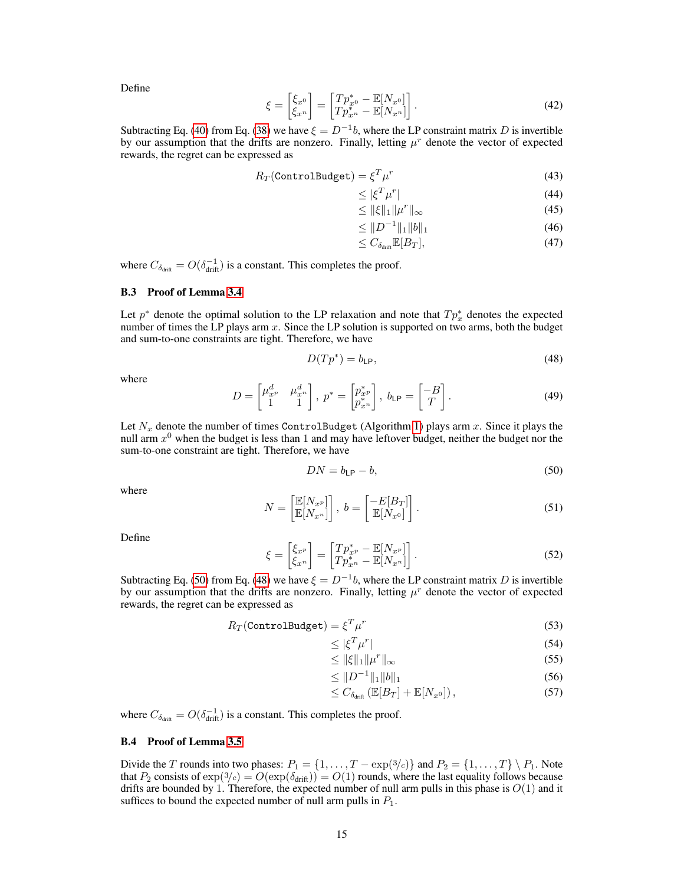Define

$$
\xi = \begin{bmatrix} \xi_{x^0} \\ \xi_{x^n} \end{bmatrix} = \begin{bmatrix} Tp_{x^0}^* - \mathbb{E}[N_{x^0}] \\ Tp_{x^n}^* - \mathbb{E}[N_{x^n}] \end{bmatrix}.
$$
\n(42)

Subtracting Eq. [\(40\)](#page-13-1) from Eq. [\(38\)](#page-13-2) we have  $\xi = D^{-1}b$ , where the LP constraint matrix D is invertible by our assumption that the drifts are nonzero. Finally, letting  $\mu^r$  denote the vector of expected rewards, the regret can be expressed as

$$
R_T(\text{ControlBudge}) = \xi^T \mu^r \tag{43}
$$

$$
\leq |\xi^T \mu^r| \tag{44}
$$

$$
\leq \|\xi\|_1 \|\mu^r\|_\infty \tag{45}
$$

$$
\leq \|D^{-1}\|_1 \|b\|_1 \tag{46}
$$

$$
\leq C_{\delta_{\text{drift}}} \mathbb{E}[B_T],\tag{47}
$$

where  $C_{\delta_{\text{drift}}} = O(\delta_{\text{drift}}^{-1})$  is a constant. This completes the proof.

#### B.3 Proof of Lemma [3.4](#page-4-1)

Let  $p^*$  denote the optimal solution to the LP relaxation and note that  $Tp^*_{x}$  denotes the expected number of times the LP plays arm  $x$ . Since the LP solution is supported on two arms, both the budget and sum-to-one constraints are tight. Therefore, we have

<span id="page-14-1"></span>
$$
D(Tp^*) = b_{\text{LP}},\tag{48}
$$

where

$$
D = \begin{bmatrix} \mu_{x^p}^d & \mu_{x^n}^d \\ 1 & 1 \end{bmatrix}, \ p^* = \begin{bmatrix} p_{x^p}^* \\ p_{x^n}^* \end{bmatrix}, \ b_{\mathsf{LP}} = \begin{bmatrix} -B \\ T \end{bmatrix} . \tag{49}
$$

Let  $N_x$  denote the number of times ControlBudget (Algorithm [1\)](#page-3-1) plays arm x. Since it plays the null arm  $x^0$  when the budget is less than 1 and may have leftover budget, neither the budget nor the sum-to-one constraint are tight. Therefore, we have

<span id="page-14-0"></span>
$$
DN = b_{\text{LP}} - b,\tag{50}
$$

where

$$
N = \begin{bmatrix} \mathbb{E}[N_{x^p}] \\ \mathbb{E}[N_{x^n}] \end{bmatrix}, \ b = \begin{bmatrix} -E[B_T] \\ \mathbb{E}[N_{x^0}] \end{bmatrix} . \tag{51}
$$

Define

$$
\xi = \begin{bmatrix} \xi_{x^p} \\ \xi_{x^n} \end{bmatrix} = \begin{bmatrix} T p_{x^p}^* - \mathbb{E}[N_{x^p}] \\ T p_{x^n}^* - \mathbb{E}[N_{x^n}] \end{bmatrix} . \tag{52}
$$

Subtracting Eq. [\(50\)](#page-14-0) from Eq. [\(48\)](#page-14-1) we have  $\xi = D^{-1}b$ , where the LP constraint matrix D is invertible by our assumption that the drifts are nonzero. Finally, letting  $\mu^r$  denote the vector of expected rewards, the regret can be expressed as

$$
R_T(\text{ControlBudge}) = \xi^T \mu^r \tag{53}
$$

$$
\leq |\xi^T \mu^r| \tag{54}
$$

$$
\leq \|\xi\|_1 \|\mu^r\|_\infty \tag{55}
$$

$$
\leq \|D^{-1}\|_1 \|b\|_1 \tag{56}
$$

$$
\leq C_{\delta_{\text{drift}}} \left( \mathbb{E}[B_T] + \mathbb{E}[N_{x^0}]\right),\tag{57}
$$

where  $C_{\delta_{\text{drift}}} = O(\delta_{\text{drift}}^{-1})$  is a constant. This completes the proof.

### <span id="page-14-2"></span>B.4 Proof of Lemma [3.5](#page-4-2)

Divide the T rounds into two phases:  $P_1 = \{1, \ldots, T - \exp(3/c)\}\$  and  $P_2 = \{1, \ldots, T\}\setminus P_1$ . Note that  $P_2$  consists of  $\exp(3/c) = O(\exp(\delta_{\text{drift}})) = O(1)$  rounds, where the last equality follows because drifts are bounded by 1. Therefore, the expected number of null arm pulls in this phase is  $O(1)$  and it suffices to bound the expected number of null arm pulls in  $P_1$ .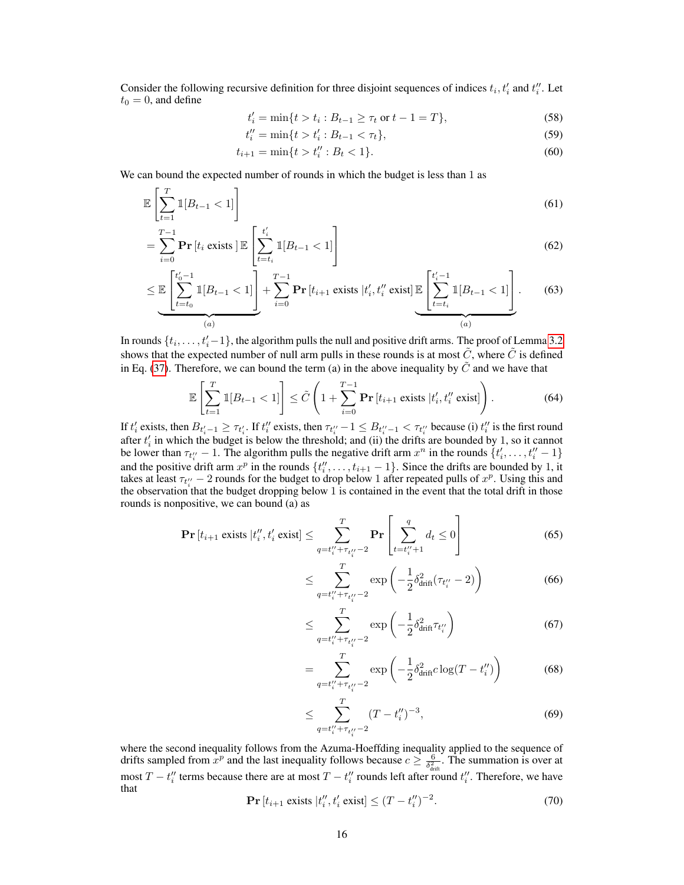Consider the following recursive definition for three disjoint sequences of indices  $t_i, t'_i$  and  $t''_i$ . Let  $t_0 = 0$ , and define

$$
t'_{i} = \min\{t > t_{i} : B_{t-1} \ge \tau_{t} \text{ or } t-1=T\},\tag{58}
$$

$$
t_i'' = \min\{t > t_i' : B_{t-1} < \tau_t\},\tag{59}
$$

$$
t_{i+1} = \min\{t > t_i'' : B_t < 1\}.\tag{60}
$$

We can bound the expected number of rounds in which the budget is less than 1 as

$$
\mathbb{E}\left[\sum_{t=1}^{T} \mathbb{1}[B_{t-1} < 1]\right] \tag{61}
$$

$$
= \sum_{i=0}^{T-1} \mathbf{Pr}\left[t_i \text{ exists } \right] \mathbb{E}\left[\sum_{t=t_i}^{t_i'} \mathbb{1}[B_{t-1} < 1]\right] \tag{62}
$$

$$
\leq \mathbb{E}\left[\sum_{t=t_0}^{t'_0-1} \mathbb{1}[B_{t-1} < 1]\right] + \sum_{i=0}^{T-1} \mathbf{Pr}\left[t_{i+1} \text{ exists } | t'_i, t''_i \text{ exist}\right] \mathbb{E}\left[\sum_{t=t_i}^{t'_i-1} \mathbb{1}[B_{t-1} < 1]\right].\tag{63}
$$

In rounds  $\{t_i, \ldots, t'_i-1\}$ , the algorithm pulls the null and positive drift arms. The proof of Lemma [3.2](#page-4-4) shows that the expected number of null arm pulls in these rounds is at most  $\tilde{C}$ , where  $\tilde{C}$  is defined in Eq. [\(37\)](#page-13-3). Therefore, we can bound the term (a) in the above inequality by  $\tilde{C}$  and we have that

$$
\mathbb{E}\left[\sum_{t=1}^{T} \mathbb{1}[B_{t-1} < 1]\right] \leq \tilde{C}\left(1 + \sum_{i=0}^{T-1} \mathbf{Pr}\left[t_{i+1} \text{ exists } | t'_{i}, t''_{i} \text{ exist}\right]\right). \tag{64}
$$

If  $t'_i$  exists, then  $B_{t'_i-1} \geq \tau_{t'_i}$ . If  $t''_i$  exists, then  $\tau_{t''_i}-1 \leq B_{t''_i-1} < \tau_{t''_i}$  because (i)  $t''_i$  is the first round after  $t_i$  in which the budget is below the threshold; and (ii) the drifts are bounded by 1, so it cannot be lower than  $\tau_{t_i''} - 1$ . The algorithm pulls the negative drift arm  $x^n$  in the rounds  $\{t_i', \ldots, t_i'' - 1\}$ and the positive drift arm  $x^p$  in the rounds  $\{t''_i, \ldots, t_{i+1} - 1\}$ . Since the drifts are bounded by 1, it takes at least  $\tau_{t_i''} - 2$  rounds for the budget to drop below 1 after repeated pulls of  $x^p$ . Using this and the observation that the budget dropping below 1 is contained in the event that the total drift in those rounds is nonpositive, we can bound (a) as

$$
\Pr[t_{i+1} \text{ exists } | t_i'', t_i' \text{ exist}] \le \sum_{q=t_i'' + \tau_{t_i''} - 2}^T \Pr\left[\sum_{t=t_i'' + 1}^q d_t \le 0\right] \tag{65}
$$

<span id="page-15-0"></span>
$$
\leq \sum_{q=t_{i}''+\tau_{t_{i}''}-2}^{T} \exp\left(-\frac{1}{2}\delta_{\text{drift}}^2(\tau_{t_{i}''}-2)\right) \tag{66}
$$

$$
\leq \sum_{q=t_i^{\prime\prime}+\tau_{t_i^{\prime\prime}}-2}^T \exp\left(-\frac{1}{2}\delta_{\text{drift}}^2 \tau_{t_i^{\prime\prime}}\right) \tag{67}
$$

$$
= \sum_{q=t_i'' + \tau_{t_i''}-2}^{T} \exp\left(-\frac{1}{2}\delta_{\text{drift}}^2 c \log(T - t_i'')\right)
$$
(68)

$$
\leq \sum_{q=t_i'' + \tau_{t_i''} - 2}^{T} (T - t_i'')^{-3},\tag{69}
$$

where the second inequality follows from the Azuma-Hoeffding inequality applied to the sequence of drifts sampled from  $x^p$  and the last inequality follows because  $c \ge \frac{6}{\delta_{\text{diff}}^2}$ . The summation is over at most T –  $t_i''$  terms because there are at most T –  $t_i''$  rounds left after round  $t_i''$ . Therefore, we have that

$$
\Pr[t_{i+1} \text{ exists } |t_i'', t_i' \text{ exist}] \le (T - t_i'')^{-2}.
$$
 (70)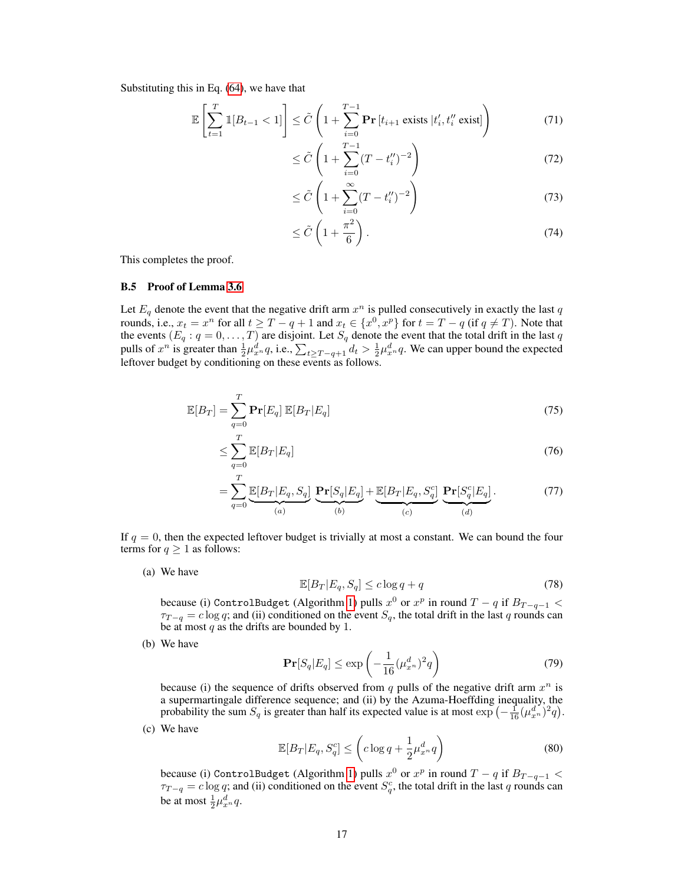Substituting this in Eq. [\(64\)](#page-15-0), we have that

$$
\mathbb{E}\left[\sum_{t=1}^{T} \mathbb{1}[B_{t-1} < 1]\right] \leq \tilde{C}\left(1 + \sum_{i=0}^{T-1} \mathbf{Pr}\left[t_{i+1} \text{ exists } | t'_i, t''_i \text{ exist}\right]\right) \tag{71}
$$

$$
\leq \tilde{C} \left( 1 + \sum_{i=0}^{T-1} (T - t_i'')^{-2} \right) \tag{72}
$$

$$
\leq \tilde{C} \left( 1 + \sum_{i=0}^{\infty} (T - t_i'')^{-2} \right) \tag{73}
$$

$$
\leq \tilde{C}\left(1+\frac{\pi^2}{6}\right). \tag{74}
$$

This completes the proof.

#### B.5 Proof of Lemma [3.6](#page-4-3)

Let  $E_q$  denote the event that the negative drift arm  $x^n$  is pulled consecutively in exactly the last q rounds, i.e.,  $x_t = x^n$  for all  $t \geq T - q + 1$  and  $x_t \in \{x^0, x^p\}$  for  $t = T - q$  (if  $q \neq T$ ). Note that the events  $(E_q: q = 0, \ldots, T)$  are disjoint. Let  $S_q$  denote the event that the total drift in the last q pulls of  $x^n$  is greater than  $\frac{1}{2}\mu_{x^n}^d q$ , i.e.,  $\sum_{t\geq T-q+1} d_t > \frac{1}{2}\mu_{x^n}^d q$ . We can upper bound the expected leftover budget by conditioning on these events as follows.

$$
\mathbb{E}[B_T] = \sum_{q=0}^{T} \mathbf{Pr}[E_q] \, \mathbb{E}[B_T | E_q] \tag{75}
$$

$$
\leq \sum_{q=0}^{T} \mathbb{E}[B_T | E_q] \tag{76}
$$

$$
= \sum_{q=0}^{T} \underbrace{\mathbb{E}[B_T | E_q, S_q]}_{(a)} \underbrace{\mathbf{Pr}[S_q | E_q]}_{(b)} + \underbrace{\mathbb{E}[B_T | E_q, S_q^c]}_{(c)} \underbrace{\mathbf{Pr}[S_q^c | E_q]}_{(d)}.
$$
(77)

If  $q = 0$ , then the expected leftover budget is trivially at most a constant. We can bound the four terms for  $q \geq 1$  as follows:

(a) We have

$$
\mathbb{E}[B_T|E_q, S_q] \le c \log q + q \tag{78}
$$

because (i) ControlBudget (Algorithm [1\)](#page-3-1) pulls  $x^0$  or  $x^p$  in round  $T - q$  if  $B_{T - q - 1}$  <  $\tau_{T-q} = c \log q$ ; and (ii) conditioned on the event  $S_q$ , the total drift in the last q rounds can be at most  $q$  as the drifts are bounded by 1.

(b) We have

$$
\mathbf{Pr}[S_q | E_q] \le \exp\left(-\frac{1}{16}(\mu_{x^n}^d)^2 q\right) \tag{79}
$$

because (i) the sequence of drifts observed from q pulls of the negative drift arm  $x^n$  is a supermartingale difference sequence; and (ii) by the Azuma-Hoeffding inequality, the probability the sum  $S_q$  is greater than half its expected value is at most  $\exp\left(-\frac{1}{16}(\mu_{x_n}^d)^2q\right)$ .

(c) We have

$$
\mathbb{E}[B_T|E_q, S_q^c] \le \left(c\log q + \frac{1}{2}\mu_{x^n}^d q\right) \tag{80}
$$

because (i) ControlBudget (Algorithm [1\)](#page-3-1) pulls  $x^0$  or  $x^p$  in round  $T - q$  if  $B_{T - q - 1} <$  $\tau_{T-q} = c \log q$ ; and (ii) conditioned on the event  $S_q^c$ , the total drift in the last q rounds can be at most  $\frac{1}{2}\mu_{x^n}^d q$ .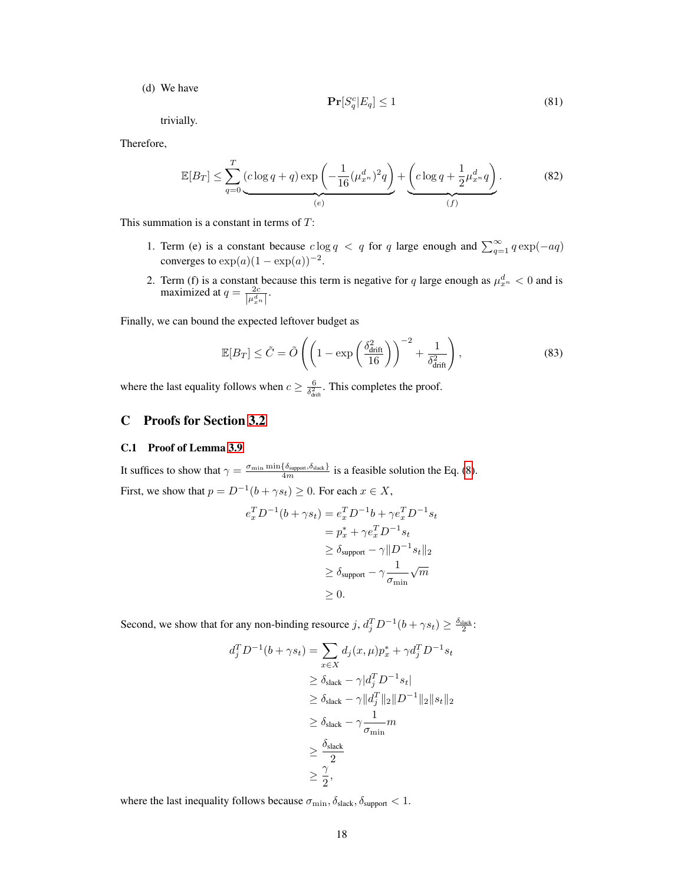(d) We have

$$
\Pr[S_q^c | E_q] \le 1\tag{81}
$$

trivially.

Therefore,

$$
\mathbb{E}[B_T] \le \sum_{q=0}^T \underbrace{(c \log q + q) \exp \left(-\frac{1}{16} (\mu_{x^n}^d)^2 q\right)}_{(e)} + \underbrace{\left(c \log q + \frac{1}{2} \mu_{x^n}^d q\right)}_{(f)}.
$$
(82)

This summation is a constant in terms of T:

- 1. Term (e) is a constant because  $c \log q < q$  for q large enough and  $\sum_{q=1}^{\infty} q \exp(-aq)$ converges to  $\exp(a)(1 - \exp(a))^{-2}$ .
- 2. Term (f) is a constant because this term is negative for q large enough as  $\mu_{x_n}^d < 0$  and is maximized at  $q = \frac{2c}{\left|\mu_{x}^d\right|}$ .

Finally, we can bound the expected leftover budget as

$$
\mathbb{E}[B_T] \le \tilde{C} = \tilde{O}\left( \left( 1 - \exp\left(\frac{\delta_{\text{drift}}^2}{16}\right) \right)^{-2} + \frac{1}{\delta_{\text{drift}}^2} \right),\tag{83}
$$

where the last equality follows when  $c \geq \frac{6}{\delta_{\text{diff}}^2}$ . This completes the proof.

# <span id="page-17-0"></span>C Proofs for Section [3.2](#page-5-1)

### C.1 Proof of Lemma [3.9](#page-6-0)

It suffices to show that  $\gamma = \frac{\sigma_{\min} \min \{\delta_{\text{support}}, \delta_{\text{slack}}\}}{4m}$  is a feasible solution the Eq. [\(8\)](#page-5-3). First, we show that  $p = D^{-1}(b + \gamma s_t) \ge 0$ . For each  $x \in X$ ,

$$
e_x^T D^{-1}(b + \gamma s_t) = e_x^T D^{-1}b + \gamma e_x^T D^{-1} s_t
$$
  
=  $p_x^* + \gamma e_x^T D^{-1} s_t$   
 $\ge \delta_{\text{support}} - \gamma ||D^{-1} s_t||_2$   
 $\ge \delta_{\text{support}} - \gamma \frac{1}{\sigma_{\min}} \sqrt{m}$   
 $\ge 0.$ 

Second, we show that for any non-binding resource  $j$ ,  $d_j^T D^{-1} (b + \gamma s_t) \ge \frac{\delta_{\text{slack}}}{2}$ :

$$
d_j^T D^{-1}(b + \gamma s_t) = \sum_{x \in X} d_j(x, \mu) p_x^* + \gamma d_j^T D^{-1} s_t
$$
  
\n
$$
\geq \delta_{\text{slack}} - \gamma |d_j^T D^{-1} s_t|
$$
  
\n
$$
\geq \delta_{\text{slack}} - \gamma ||d_j^T ||_2 ||D^{-1} ||_2 ||s_t||_2
$$
  
\n
$$
\geq \delta_{\text{slack}} - \gamma \frac{1}{\sigma_{\min}} m
$$
  
\n
$$
\geq \frac{\delta_{\text{slack}}}{2}
$$
  
\n
$$
\geq \frac{\gamma}{2},
$$

where the last inequality follows because  $\sigma_{\min}$ ,  $\delta_{\text{slack}}$ ,  $\delta_{\text{support}}$  < 1.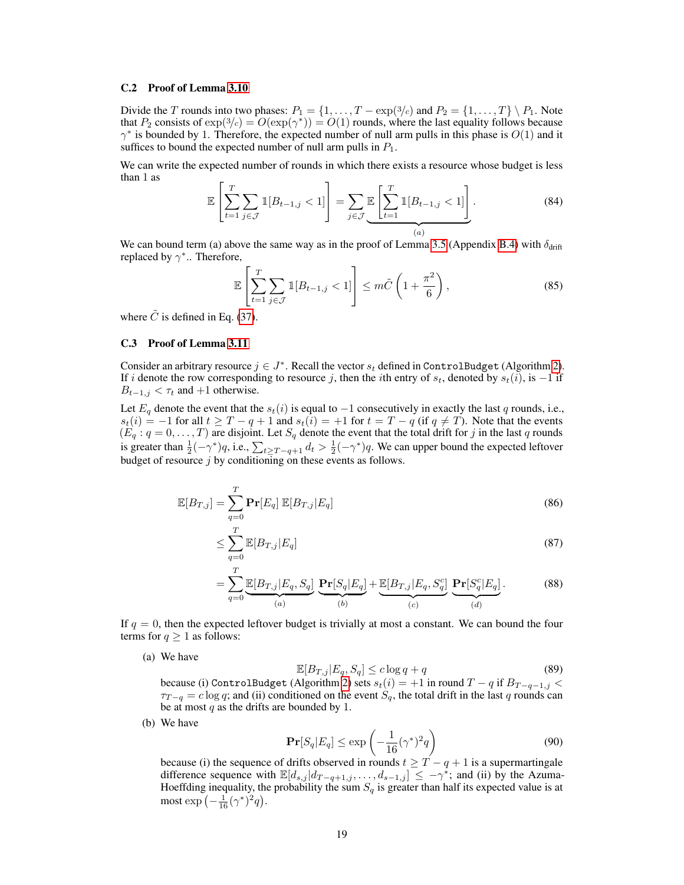### C.2 Proof of Lemma [3.10](#page-6-1)

Divide the T rounds into two phases:  $P_1 = \{1, \ldots, T - \exp(\frac{3}{c})\}$  and  $P_2 = \{1, \ldots, T\} \setminus P_1$ . Note that  $P_2$  consists of  $\exp(3/c) = O(\exp(\gamma^*)) = O(1)$  rounds, where the last equality follows because  $\gamma^*$  is bounded by 1. Therefore, the expected number of null arm pulls in this phase is  $O(1)$  and it suffices to bound the expected number of null arm pulls in  $P_1$ .

We can write the expected number of rounds in which there exists a resource whose budget is less than 1 as

$$
\mathbb{E}\left[\sum_{t=1}^{T} \sum_{j \in \mathcal{J}} \mathbb{1}[B_{t-1,j} < 1]\right] = \sum_{j \in \mathcal{J}} \underbrace{\mathbb{E}\left[\sum_{t=1}^{T} \mathbb{1}[B_{t-1,j} < 1]\right]}_{(a)}.
$$
\n
$$
(84)
$$

We can bound term (a) above the same way as in the proof of Lemma [3.5](#page-4-2) (Appendix [B.4\)](#page-14-2) with  $\delta_{\rm drift}$ replaced by  $\gamma^*$ .. Therefore,

$$
\mathbb{E}\left[\sum_{t=1}^{T} \sum_{j \in \mathcal{J}} \mathbb{1}[B_{t-1,j} < 1]\right] \le m\tilde{C}\left(1 + \frac{\pi^2}{6}\right),\tag{85}
$$

where  $\tilde{C}$  is defined in Eq. [\(37\)](#page-13-3).

# C.3 Proof of Lemma [3.11](#page-6-2)

Consider an arbitrary resource  $j \in J^*$ . Recall the vector  $s_t$  defined in ControlBudget (Algorithm [2\)](#page-5-0). If i denote the row corresponding to resource j, then the ith entry of  $s_t$ , denoted by  $s_t(i)$ , is  $-1$  if  $B_{t-1,j} < \tau_t$  and +1 otherwise.

Let  $E_q$  denote the event that the  $s_t(i)$  is equal to  $-1$  consecutively in exactly the last q rounds, i.e.,  $s_t(i) = -1$  for all  $t \geq T - q + 1$  and  $s_t(i) = +1$  for  $t = T - q$  (if  $q \neq T$ ). Note that the events  $(E_q: q = 0, \ldots, T)$  are disjoint. Let  $S_q$  denote the event that the total drift for j in the last q rounds is greater than  $\frac{1}{2}(-\gamma^*)q$ , i.e.,  $\sum_{t\geq T-q+1}d_t > \frac{1}{2}(-\gamma^*)q$ . We can upper bound the expected leftover budget of resource  $j$  by conditioning on these events as follows.

$$
\mathbb{E}[B_{T,j}] = \sum_{q=0}^{T} \mathbf{Pr}[E_q] \, \mathbb{E}[B_{T,j}|E_q] \tag{86}
$$

$$
\leq \sum_{q=0}^{T} \mathbb{E}[B_{T,j}|E_q] \tag{87}
$$

$$
= \sum_{q=0}^{T} \underbrace{\mathbb{E}[B_{T,j}|E_q, S_q]}_{(a)} \underbrace{\mathbf{Pr}[S_q|E_q]}_{(b)} + \underbrace{\mathbb{E}[B_{T,j}|E_q, S_q^c]}_{(c)} \underbrace{\mathbf{Pr}[S_q^c|E_q]}_{(d)}.
$$
(88)

If  $q = 0$ , then the expected leftover budget is trivially at most a constant. We can bound the four terms for  $q \geq 1$  as follows:

(a) We have

$$
\mathbb{E}[B_{T,j}|E_q, S_q] \le c \log q + q \tag{89}
$$

because (i) ControlBudget (Algorithm [2\)](#page-5-0) sets  $s_t(i) = +1$  in round  $T - q$  if  $B_{T-q-1,j}$  <  $\tau_{T-q} = c \log q$ ; and (ii) conditioned on the event  $S_q$ , the total drift in the last q rounds can be at most  $q$  as the drifts are bounded by 1.

(b) We have

$$
\Pr[S_q | E_q] \le \exp\left(-\frac{1}{16}(\gamma^*)^2 q\right) \tag{90}
$$

because (i) the sequence of drifts observed in rounds  $t \geq T - q + 1$  is a supermartingale difference sequence with  $\mathbb{E}[d_{s,j} | d_{T-q+1,j}, \ldots, d_{s-1,j}] \leq -\gamma^*$ ; and (ii) by the Azuma-Hoeffding inequality, the probability the sum  $S_q$  is greater than half its expected value is at most  $\exp\left(-\frac{1}{16}(\gamma^*)^2q\right)$ .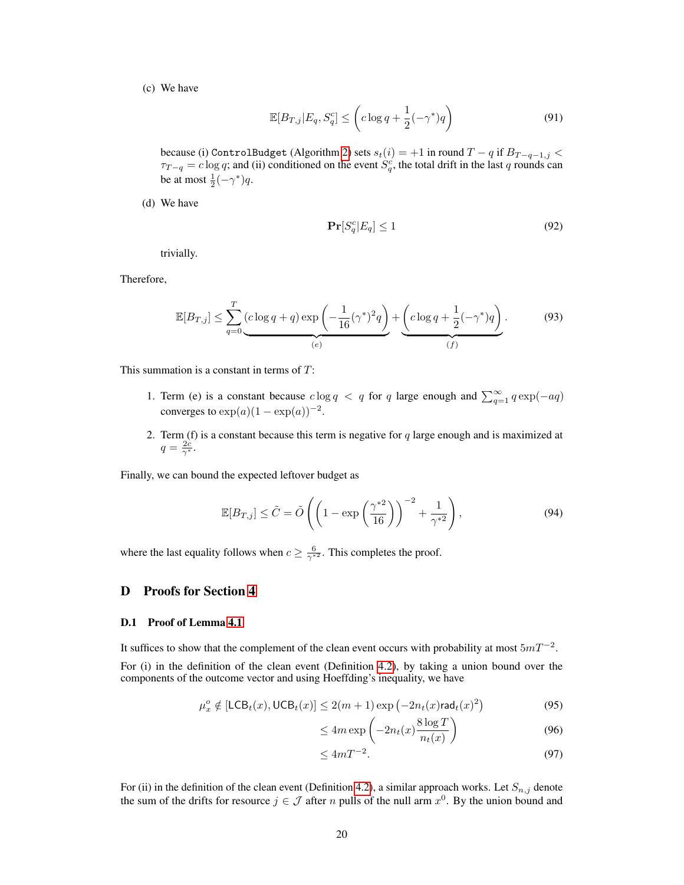(c) We have

$$
\mathbb{E}[B_{T,j}|E_q, S_q^c] \le \left(c\log q + \frac{1}{2}(-\gamma^*)q\right) \tag{91}
$$

because (i) ControlBudget (Algorithm [2\)](#page-5-0) sets  $s_t(i) = +1$  in round  $T - q$  if  $B_{T - q - 1,j} <$  $\tau_{T-q} = c \log q$ ; and (ii) conditioned on the event  $\hat{S}_q^c$ , the total drift in the last q rounds can be at most  $\frac{1}{2}(-\gamma^*)q$ .

(d) We have

$$
\Pr[S_q^c | E_q] \le 1\tag{92}
$$

trivially.

Therefore,

$$
\mathbb{E}[B_{T,j}] \le \sum_{q=0}^{T} \underbrace{(c \log q + q) \exp \left(-\frac{1}{16} (\gamma^*)^2 q\right)}_{(e)} + \underbrace{\left(c \log q + \frac{1}{2} (-\gamma^*) q\right)}_{(f)}.
$$
\n(93)

This summation is a constant in terms of T:

- 1. Term (e) is a constant because  $c \log q < q$  for q large enough and  $\sum_{q=1}^{\infty} q \exp(-aq)$ converges to  $\exp(a)(1 - \exp(a))^{-2}$ .
- 2. Term (f) is a constant because this term is negative for  $q$  large enough and is maximized at  $q=\frac{2c}{\gamma^*}.$

Finally, we can bound the expected leftover budget as

$$
\mathbb{E}[B_{T,j}] \le \tilde{C} = \tilde{O}\left( \left(1 - \exp\left(\frac{\gamma^{*2}}{16}\right)\right)^{-2} + \frac{1}{\gamma^{*2}} \right),\tag{94}
$$

where the last equality follows when  $c \geq \frac{6}{\gamma^{*2}}$ . This completes the proof.

# <span id="page-19-0"></span>D Proofs for Section [4](#page-6-3)

### D.1 Proof of Lemma [4.1](#page-8-2)

It suffices to show that the complement of the clean event occurs with probability at most  $5mT^{-2}$ . For (i) in the definition of the clean event (Definition [4.2\)](#page-8-3), by taking a union bound over the components of the outcome vector and using Hoeffding's inequality, we have

$$
\mu_x^o \notin \left[ \mathsf{LCB}_t(x), \mathsf{UCB}_t(x) \right] \le 2(m+1) \exp\left( -2n_t(x) \mathsf{rad}_t(x)^2 \right) \tag{95}
$$

$$
\leq 4m \exp\left(-2n_t(x)\frac{8\log T}{n_t(x)}\right) \tag{96}
$$

$$
\leq 4mT^{-2}.\tag{97}
$$

For (ii) in the definition of the clean event (Definition [4.2\)](#page-8-3), a similar approach works. Let  $S_{n,j}$  denote the sum of the drifts for resource  $j \in \mathcal{J}$  after n pulls of the null arm  $x^0$ . By the union bound and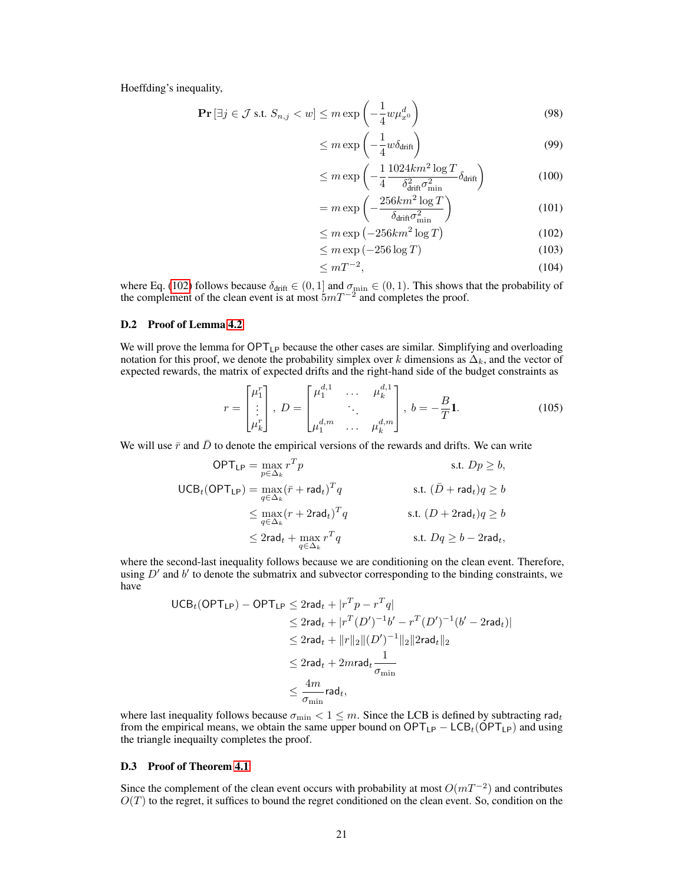Hoeffding's inequality,

$$
\Pr\left[\exists j \in \mathcal{J} \text{ s.t. } S_{n,j} < w\right] \le m \exp\left(-\frac{1}{4}w\mu_{x^0}^d\right) \tag{98}
$$

$$
\leq m \exp\left(-\frac{1}{4}w\delta_{\text{drift}}\right) \tag{99}
$$

$$
\leq m \exp\left(-\frac{1}{4} \frac{1024km^2 \log T}{\delta_{\text{drift}}^2 \sigma_{\text{min}}^2} \delta_{\text{drift}}\right) \tag{100}
$$

$$
= m \exp\left(-\frac{256km^2\log T}{\delta_{\text{drift}}\sigma_{\min}^2}\right) \tag{101}
$$

<span id="page-20-1"></span>
$$
\leq m \exp\left(-256km^2\log T\right) \tag{102}
$$

$$
\leq m \exp(-256 \log T) \tag{103}
$$

$$
\leq mT^{-2},\tag{104}
$$

where Eq. [\(102\)](#page-20-1) follows because  $\delta_{\text{drift}} \in (0,1]$  and  $\sigma_{\min} \in (0,1)$ . This shows that the probability of the complement of the clean event is at most  $5mT^{-2}$  and completes the proof.

## D.2 Proof of Lemma [4.2](#page-8-0)

We will prove the lemma for  $\text{OPT}_{\text{LP}}$  because the other cases are similar. Simplifying and overloading notation for this proof, we denote the probability simplex over k dimensions as  $\Delta_k$ , and the vector of expected rewards, the matrix of expected drifts and the right-hand side of the budget constraints as

$$
r = \begin{bmatrix} \mu_1^r \\ \vdots \\ \mu_k^r \end{bmatrix}, \ D = \begin{bmatrix} \mu_1^{d,1} & \cdots & \mu_k^{d,1} \\ \vdots & \ddots & \vdots \\ \mu_1^{d,m} & \cdots & \mu_k^{d,m} \end{bmatrix}, \ b = -\frac{B}{T} \mathbf{1}.
$$
 (105)

We will use  $\bar{r}$  and  $\bar{D}$  to denote the empirical versions of the rewards and drifts. We can write

$$
\begin{aligned}\n\text{OPT}_{\mathsf{LP}} &= \max_{p \in \Delta_k} r^T p & \text{s.t. } Dp \ge b, \\
\text{UCB}_t(\text{OPT}_{\mathsf{LP}}) &= \max_{q \in \Delta_k} (\bar{r} + \mathsf{rad}_t)^T q & \text{s.t. } (\bar{D} + \mathsf{rad}_t)q \ge b \\
&\le \max_{q \in \Delta_k} (r + 2\mathsf{rad}_t)^T q & \text{s.t. } (D + 2\mathsf{rad}_t)q \ge b \\
&\le 2\mathsf{rad}_t + \max_{q \in \Delta_k} r^T q & \text{s.t. } Dq \ge b - 2\mathsf{rad}_t,\n\end{aligned}
$$

where the second-last inequality follows because we are conditioning on the clean event. Therefore, using  $D'$  and  $b'$  to denote the submatrix and subvector corresponding to the binding constraints, we have

$$
UCB_t(OPT_{LP}) - OPT_{LP} \le 2rad_t + |r^T p - r^T q|
$$
  
\n
$$
\le 2rad_t + |r^T (D')^{-1} b' - r^T (D')^{-1} (b' - 2rad_t)|
$$
  
\n
$$
\le 2rad_t + ||r||_2 ||(D')^{-1}||_2 ||2rad_t||_2
$$
  
\n
$$
\le 2rad_t + 2mrad_t \frac{1}{\sigma_{\min}}
$$
  
\n
$$
\le \frac{4m}{\sigma_{\min}} rad_t,
$$

where last inequality follows because  $\sigma_{\min} < 1 \leq m$ . Since the LCB is defined by subtracting rad<sub>t</sub> from the empirical means, we obtain the same upper bound on  $\text{OPT}_{\text{LP}} - \text{LCB}_t(\text{OPT}_{\text{LP}})$  and using the triangle inequailty completes the proof.

### <span id="page-20-0"></span>D.3 Proof of Theorem [4.1](#page-7-3)

Since the complement of the clean event occurs with probability at most  $O(mT^{-2})$  and contributes  $O(T)$  to the regret, it suffices to bound the regret conditioned on the clean event. So, condition on the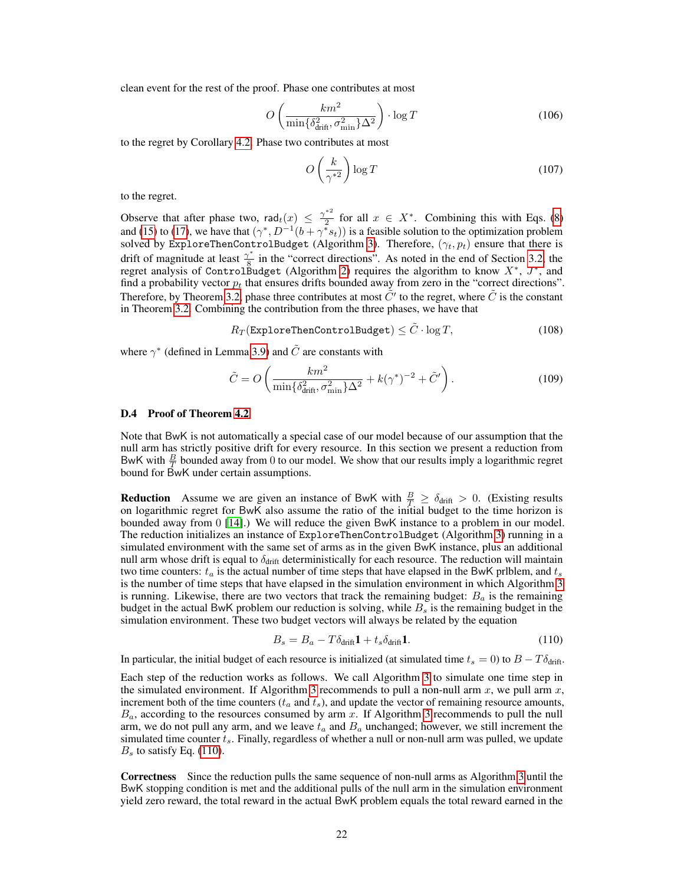clean event for the rest of the proof. Phase one contributes at most

$$
O\left(\frac{km^2}{\min\{\delta_{\text{drift}}^2, \sigma_{\text{min}}^2\}\Delta^2}\right) \cdot \log T\tag{106}
$$

to the regret by Corollary [4.2.](#page-8-4) Phase two contributes at most

$$
O\left(\frac{k}{\gamma^{*2}}\right) \log T \tag{107}
$$

to the regret.

Observe that after phase two, rad $t(x) \leq \frac{\gamma^{*2}}{2}$  $\frac{1}{2}$  for all  $x \in X^*$ . Combining this with Eqs. [\(8\)](#page-5-3) and [\(15\)](#page-7-4) to [\(17\)](#page-7-5), we have that  $(\gamma^*, D^{-1}(b + \gamma^* s_t))$  is a feasible solution to the optimization problem solved by ExploreThenControlBudget (Algorithm [3\)](#page-7-1). Therefore,  $(\gamma_t, p_t)$  ensure that there is drift of magnitude at least  $\frac{\gamma^*}{8}$  $\frac{8}{8}$  in the "correct directions". As noted in the end of Section [3.2,](#page-5-1) the regret analysis of ControlBudget (Algorithm [2\)](#page-5-0) requires the algorithm to know  $X^*$ ,  $J^*$ , and find a probability vector  $p_t$  that ensures drifts bounded away from zero in the "correct directions". Therefore, by Theorem [3.2,](#page-5-2) phase three contributes at most  $\tilde{C}'$  to the regret, where  $\tilde{C}$  is the constant in Theorem [3.2.](#page-5-2) Combining the contribution from the three phases, we have that

 $R_T$ (ExploreThenControlBudget)  $\langle \tilde{C} \cdot \log T$ , (108)

where  $\gamma^*$  (defined in Lemma [3.9\)](#page-6-0) and  $\tilde{C}$  are constants with

$$
\tilde{C} = O\left(\frac{km^2}{\min\{\delta_{\rm drift}^2, \sigma_{\rm min}^2\}\Delta^2} + k(\gamma^*)^{-2} + \tilde{C}'\right). \tag{109}
$$

#### <span id="page-21-0"></span>D.4 Proof of Theorem [4.2](#page-8-5)

Note that BwK is not automatically a special case of our model because of our assumption that the null arm has strictly positive drift for every resource. In this section we present a reduction from BwK with  $\frac{B}{T}$  bounded away from 0 to our model. We show that our results imply a logarithmic regret bound for  $\overrightarrow{B}$ wK under certain assumptions.

**Reduction** Assume we are given an instance of BwK with  $\frac{B}{T} \ge \delta_{\text{drift}} > 0$ . (Existing results on logarithmic regret for BwK also assume the ratio of the initial budget to the time horizon is bounded away from 0 [\[14\]](#page-9-1).) We will reduce the given BwK instance to a problem in our model. The reduction initializes an instance of ExploreThenControlBudget (Algorithm [3\)](#page-7-1) running in a simulated environment with the same set of arms as in the given BwK instance, plus an additional null arm whose drift is equal to  $\delta_{\text{drift}}$  deterministically for each resource. The reduction will maintain two time counters:  $t_a$  is the actual number of time steps that have elapsed in the BwK priblem, and  $t_s$ is the number of time steps that have elapsed in the simulation environment in which Algorithm [3](#page-7-1) is running. Likewise, there are two vectors that track the remaining budget:  $B_a$  is the remaining budget in the actual BwK problem our reduction is solving, while  $B_s$  is the remaining budget in the simulation environment. These two budget vectors will always be related by the equation

<span id="page-21-1"></span>
$$
B_s = B_a - T\delta_{\text{drift}}\mathbf{1} + t_s\delta_{\text{drift}}\mathbf{1}.\tag{110}
$$

In particular, the initial budget of each resource is initialized (at simulated time  $t_s = 0$ ) to  $B - T \delta_{\text{drift}}$ .

Each step of the reduction works as follows. We call Algorithm [3](#page-7-1) to simulate one time step in the simulated environment. If Algorithm [3](#page-7-1) recommends to pull a non-null arm  $x$ , we pull arm  $x$ , increment both of the time counters  $(t_a$  and  $t_s$ ), and update the vector of remaining resource amounts,  $B_a$ , according to the resources consumed by arm  $x$ . If Algorithm [3](#page-7-1) recommends to pull the null arm, we do not pull any arm, and we leave  $t_a$  and  $B_a$  unchanged; however, we still increment the simulated time counter  $t_s$ . Finally, regardless of whether a null or non-null arm was pulled, we update  $B<sub>s</sub>$  to satisfy Eq. [\(110\)](#page-21-1).

Correctness Since the reduction pulls the same sequence of non-null arms as Algorithm [3](#page-7-1) until the BwK stopping condition is met and the additional pulls of the null arm in the simulation environment yield zero reward, the total reward in the actual BwK problem equals the total reward earned in the